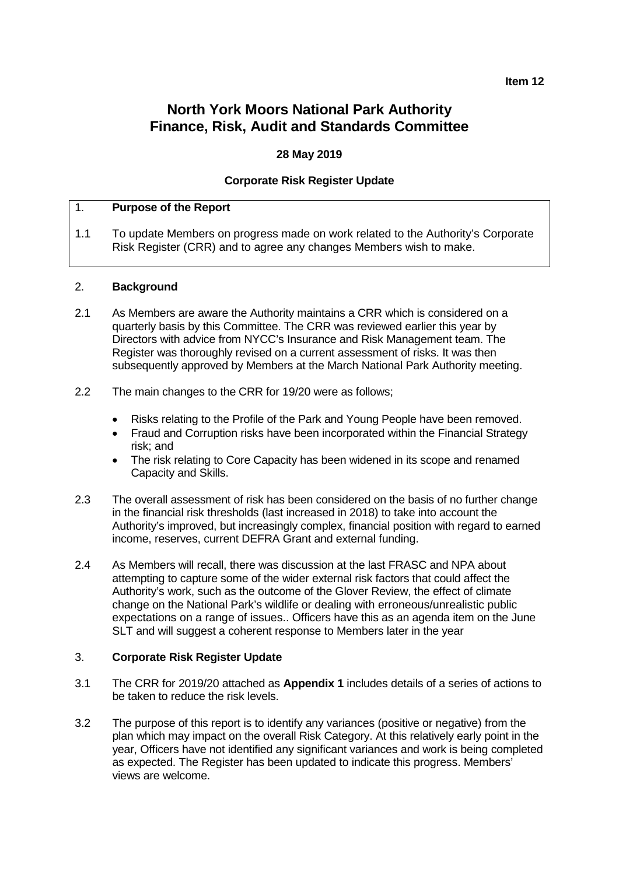#### **Item 12**

## **North York Moors National Park Authority Finance, Risk, Audit and Standards Committee**

#### **28 May 2019**

#### **Corporate Risk Register Update**

#### 1. **Purpose of the Report**

1.1 To update Members on progress made on work related to the Authority's Corporate Risk Register (CRR) and to agree any changes Members wish to make.

#### 2. **Background**

- 2.1 As Members are aware the Authority maintains a CRR which is considered on a quarterly basis by this Committee. The CRR was reviewed earlier this year by Directors with advice from NYCC's Insurance and Risk Management team. The Register was thoroughly revised on a current assessment of risks. It was then subsequently approved by Members at the March National Park Authority meeting.
- 2.2 The main changes to the CRR for 19/20 were as follows;
	- Risks relating to the Profile of the Park and Young People have been removed.
	- Fraud and Corruption risks have been incorporated within the Financial Strategy risk; and
	- The risk relating to Core Capacity has been widened in its scope and renamed Capacity and Skills.
- 2.3 The overall assessment of risk has been considered on the basis of no further change in the financial risk thresholds (last increased in 2018) to take into account the Authority's improved, but increasingly complex, financial position with regard to earned income, reserves, current DEFRA Grant and external funding.
- 2.4 As Members will recall, there was discussion at the last FRASC and NPA about attempting to capture some of the wider external risk factors that could affect the Authority's work, such as the outcome of the Glover Review, the effect of climate change on the National Park's wildlife or dealing with erroneous/unrealistic public expectations on a range of issues.. Officers have this as an agenda item on the June SLT and will suggest a coherent response to Members later in the year

#### 3. **Corporate Risk Register Update**

- 3.1 The CRR for 2019/20 attached as **Appendix 1** includes details of a series of actions to be taken to reduce the risk levels.
- 3.2 The purpose of this report is to identify any variances (positive or negative) from the plan which may impact on the overall Risk Category. At this relatively early point in the year, Officers have not identified any significant variances and work is being completed as expected. The Register has been updated to indicate this progress. Members' views are welcome.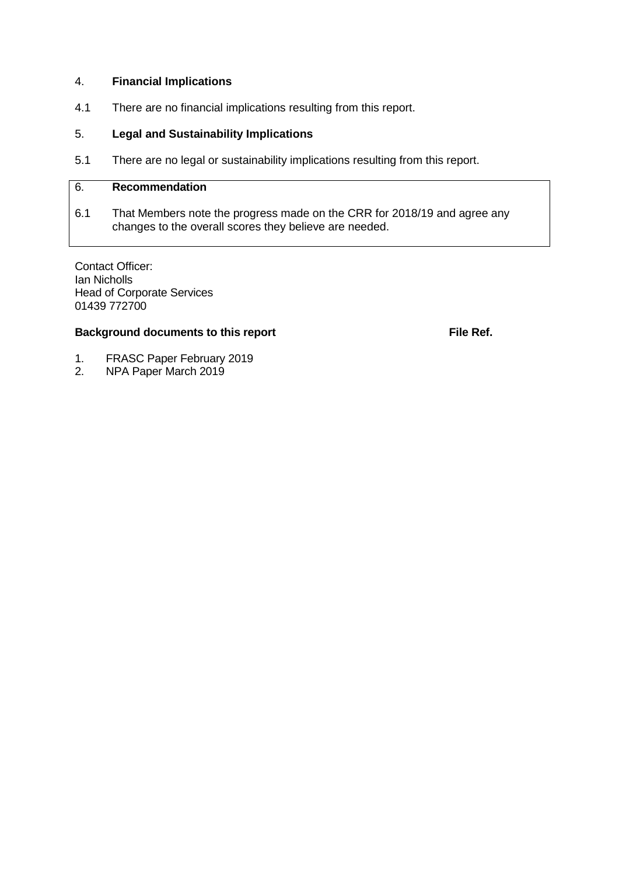#### 4. **Financial Implications**

4.1 There are no financial implications resulting from this report.

#### 5. **Legal and Sustainability Implications**

5.1 There are no legal or sustainability implications resulting from this report.

#### 6. **Recommendation**

6.1 That Members note the progress made on the CRR for 2018/19 and agree any changes to the overall scores they believe are needed.

Contact Officer: Ian Nicholls Head of Corporate Services 01439 772700

#### **Background documents to this report File Ref. File Ref.**

- 1. FRASC Paper February 2019<br>2. NPA Paper March 2019
- 2. NPA Paper March 2019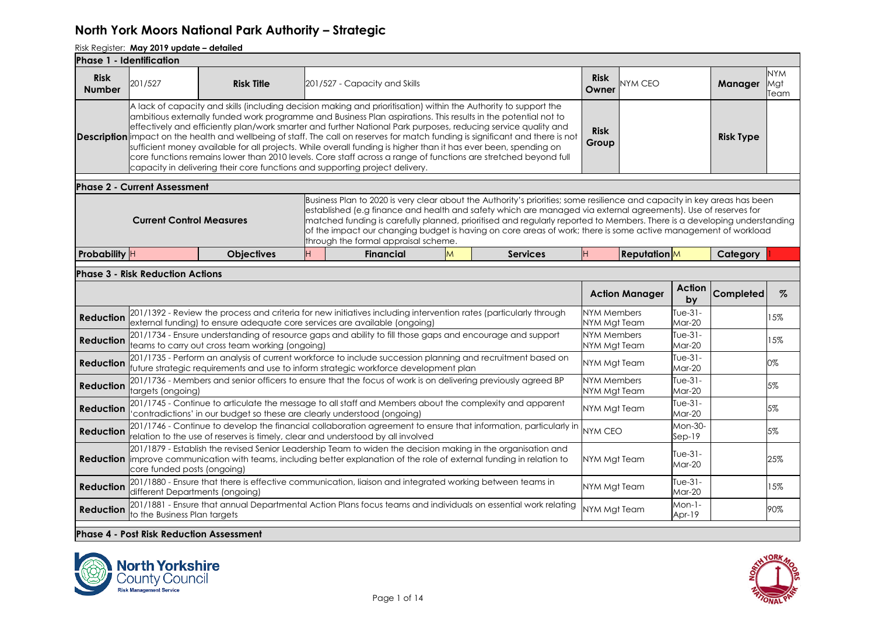| <b>Phase 1 - Identification</b> |                                                 |                                                                              |    |                                                                                                                                                                                                                                                                                                                                                                                                                                                                                                                                                                                                                                                                                                                                      |   |                                                                                                                                                                                                                                                                                                                                                                                                                                                                                          |                             |                       |                          |                  |                           |
|---------------------------------|-------------------------------------------------|------------------------------------------------------------------------------|----|--------------------------------------------------------------------------------------------------------------------------------------------------------------------------------------------------------------------------------------------------------------------------------------------------------------------------------------------------------------------------------------------------------------------------------------------------------------------------------------------------------------------------------------------------------------------------------------------------------------------------------------------------------------------------------------------------------------------------------------|---|------------------------------------------------------------------------------------------------------------------------------------------------------------------------------------------------------------------------------------------------------------------------------------------------------------------------------------------------------------------------------------------------------------------------------------------------------------------------------------------|-----------------------------|-----------------------|--------------------------|------------------|---------------------------|
| <b>Risk</b><br><b>Number</b>    | 201/527                                         | <b>Risk Title</b>                                                            |    | 201/527 - Capacity and Skills                                                                                                                                                                                                                                                                                                                                                                                                                                                                                                                                                                                                                                                                                                        |   |                                                                                                                                                                                                                                                                                                                                                                                                                                                                                          | <b>Risk</b><br>Owner        | <b>NYM CEO</b>        |                          | Manager          | <b>NYM</b><br>Mgt<br>Team |
|                                 |                                                 | capacity in delivering their core functions and supporting project delivery. |    | A lack of capacity and skills (including decision making and prioritisation) within the Authority to support the<br>ambitious externally funded work programme and Business Plan aspirations. This results in the potential not to<br>effectively and efficiently plan/work smarter and further National Park purposes, reducing service quality and<br><b>Description</b> impact on the health and wellbeing of staff. The call on reserves for match funding is significant and there is not<br>sufficient money available for all projects. While overall funding is higher than it has ever been, spending on<br>core functions remains lower than 2010 levels. Core staff across a range of functions are stretched beyond full |   |                                                                                                                                                                                                                                                                                                                                                                                                                                                                                          | <b>Risk</b><br>Group        |                       |                          | <b>Risk Type</b> |                           |
|                                 | <b>Phase 2 - Current Assessment</b>             |                                                                              |    |                                                                                                                                                                                                                                                                                                                                                                                                                                                                                                                                                                                                                                                                                                                                      |   |                                                                                                                                                                                                                                                                                                                                                                                                                                                                                          |                             |                       |                          |                  |                           |
|                                 | <b>Current Control Measures</b>                 |                                                                              |    | through the formal appraisal scheme.                                                                                                                                                                                                                                                                                                                                                                                                                                                                                                                                                                                                                                                                                                 |   | Business Plan to 2020 is very clear about the Authority's priorities; some resilience and capacity in key areas has been<br>established (e.g finance and health and safety which are managed via external agreements). Use of reserves for<br>matched funding is carefully planned, prioritised and regularly reported to Members. There is a developing understanding<br>of the impact our changing budget is having on core areas of work; there is some active management of workload |                             |                       |                          |                  |                           |
| Probability H                   |                                                 | <b>Objectives</b>                                                            | H. | <b>Financial</b>                                                                                                                                                                                                                                                                                                                                                                                                                                                                                                                                                                                                                                                                                                                     | M | <b>Services</b>                                                                                                                                                                                                                                                                                                                                                                                                                                                                          |                             | <b>Reputation</b>     |                          | Category         |                           |
|                                 | <b>Phase 3 - Risk Reduction Actions</b>         |                                                                              |    |                                                                                                                                                                                                                                                                                                                                                                                                                                                                                                                                                                                                                                                                                                                                      |   |                                                                                                                                                                                                                                                                                                                                                                                                                                                                                          |                             |                       |                          |                  |                           |
|                                 |                                                 |                                                                              |    |                                                                                                                                                                                                                                                                                                                                                                                                                                                                                                                                                                                                                                                                                                                                      |   |                                                                                                                                                                                                                                                                                                                                                                                                                                                                                          |                             | <b>Action Manager</b> | Action<br>by             | Completed        | %                         |
| <b>Reduction</b>                |                                                 |                                                                              |    | 201/1392 - Review the process and criteria for new initiatives including intervention rates (particularly through<br>external funding) to ensure adequate core services are available (ongoing)                                                                                                                                                                                                                                                                                                                                                                                                                                                                                                                                      |   |                                                                                                                                                                                                                                                                                                                                                                                                                                                                                          | NYM Members<br>NYM Mgt Team |                       | Tue-31-<br>Mar-20        |                  | 15%                       |
| <b>Reduction</b>                |                                                 | teams to carry out cross team working (ongoing)                              |    | 201/1734 - Ensure understanding of resource gaps and ability to fill those gaps and encourage and support                                                                                                                                                                                                                                                                                                                                                                                                                                                                                                                                                                                                                            |   |                                                                                                                                                                                                                                                                                                                                                                                                                                                                                          | NYM Members<br>NYM Mgt Team |                       | Tue-31-<br>Mar-20        |                  | 15%                       |
| Reduction                       |                                                 |                                                                              |    | 201/1735 - Perform an analysis of current workforce to include succession planning and recruitment based on<br>future strategic requirements and use to inform strategic workforce development plan                                                                                                                                                                                                                                                                                                                                                                                                                                                                                                                                  |   |                                                                                                                                                                                                                                                                                                                                                                                                                                                                                          | NYM Mgt Team                |                       | Tue- $31-$<br>Mar-20     |                  | 0%                        |
| <b>Reduction</b>                | targets (ongoing)                               |                                                                              |    | 201/1736 - Members and senior officers to ensure that the focus of work is on delivering previously agreed BP                                                                                                                                                                                                                                                                                                                                                                                                                                                                                                                                                                                                                        |   |                                                                                                                                                                                                                                                                                                                                                                                                                                                                                          | NYM Members<br>NYM Mgt Team |                       | Tue-31-<br>Mar-20        |                  | 5%                        |
| Reduction                       |                                                 | 'contradictions' in our budget so these are clearly understood (ongoing)     |    | 201/1745 - Continue to articulate the message to all staff and Members about the complexity and apparent                                                                                                                                                                                                                                                                                                                                                                                                                                                                                                                                                                                                                             |   |                                                                                                                                                                                                                                                                                                                                                                                                                                                                                          | NYM Mgt Team                |                       | Tue- $31-$<br>$Mar-20$   |                  | 5%                        |
| <b>Reduction</b>                |                                                 |                                                                              |    | relation to the use of reserves is timely, clear and understood by all involved                                                                                                                                                                                                                                                                                                                                                                                                                                                                                                                                                                                                                                                      |   | 201/1746 - Continue to develop the financial collaboration agreement to ensure that information, particularly in                                                                                                                                                                                                                                                                                                                                                                         | <b>NYM CEO</b>              |                       | Mon-30-<br>$Sep-19$      |                  | 5%                        |
| <b>Reduction</b>                | core funded posts (ongoing)                     |                                                                              |    | 201/1879 - Establish the revised Senior Leadership Team to widen the decision making in the organisation and<br>improve communication with teams, including better explanation of the role of external funding in relation to                                                                                                                                                                                                                                                                                                                                                                                                                                                                                                        |   |                                                                                                                                                                                                                                                                                                                                                                                                                                                                                          | NYM Mgt Team                |                       | $Tue-31-$<br>Mar-20      |                  | 25%                       |
| <b>Reduction</b>                | different Departments (ongoing)                 |                                                                              |    | 201/1880 - Ensure that there is effective communication, liaison and integrated working between teams in                                                                                                                                                                                                                                                                                                                                                                                                                                                                                                                                                                                                                             |   |                                                                                                                                                                                                                                                                                                                                                                                                                                                                                          | NYM Mgt Team                |                       | Tue-31-<br><b>Mar-20</b> |                  | 15%                       |
| <b>Reduction</b>                | to the Business Plan targets                    |                                                                              |    | 201/1881 - Ensure that annual Departmental Action Plans focus teams and individuals on essential work relating                                                                                                                                                                                                                                                                                                                                                                                                                                                                                                                                                                                                                       |   |                                                                                                                                                                                                                                                                                                                                                                                                                                                                                          | NYM Mgt Team                |                       | $Mon-1-$<br>Apr-19       |                  | 90%                       |
|                                 | <b>Phase 4 - Post Risk Reduction Assessment</b> |                                                                              |    |                                                                                                                                                                                                                                                                                                                                                                                                                                                                                                                                                                                                                                                                                                                                      |   |                                                                                                                                                                                                                                                                                                                                                                                                                                                                                          |                             |                       |                          |                  |                           |



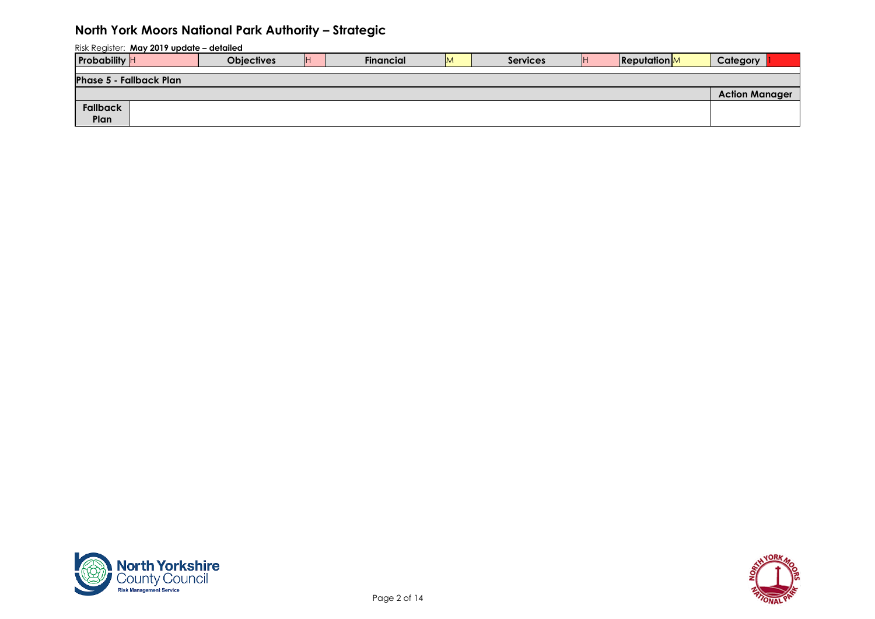| <b>Probability</b> H           | <b>Objectives</b> | <b>IH</b> | <b>Financial</b> | <b>IM</b> | <b>Services</b> | <b>Reputation</b> | Category              |  |
|--------------------------------|-------------------|-----------|------------------|-----------|-----------------|-------------------|-----------------------|--|
|                                |                   |           |                  |           |                 |                   |                       |  |
| <b>Phase 5 - Fallback Plan</b> |                   |           |                  |           |                 |                   |                       |  |
|                                |                   |           |                  |           |                 |                   | <b>Action Manager</b> |  |
| Fallback                       |                   |           |                  |           |                 |                   |                       |  |
| Plan                           |                   |           |                  |           |                 |                   |                       |  |



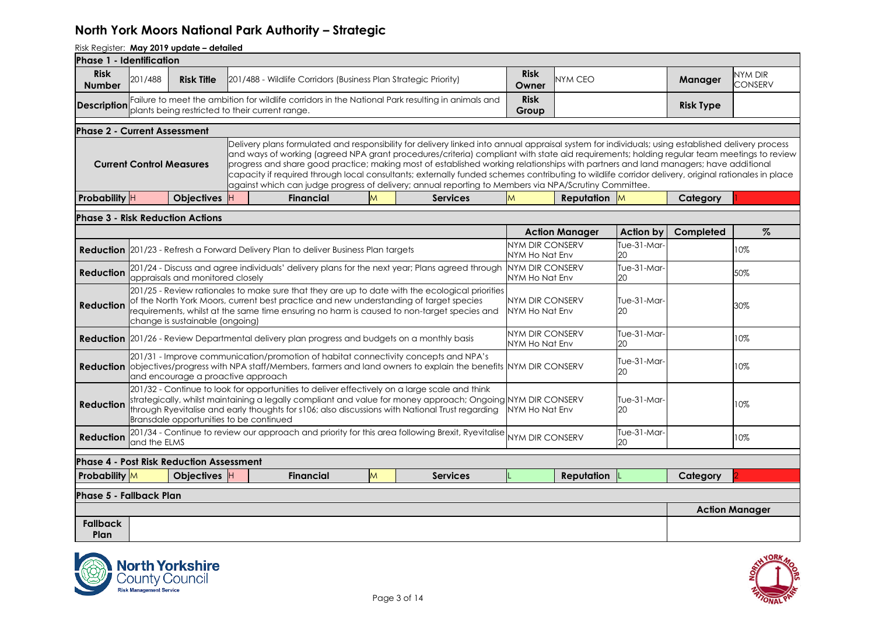| Phase 1 - Identification            |              |                                                 |                                                                                            |   |                                                                                                                                                                                                                                                                                                                                                                                                                                                                                                                                                                                                                                                                                                      |                                          |                       |                   |                  |                       |
|-------------------------------------|--------------|-------------------------------------------------|--------------------------------------------------------------------------------------------|---|------------------------------------------------------------------------------------------------------------------------------------------------------------------------------------------------------------------------------------------------------------------------------------------------------------------------------------------------------------------------------------------------------------------------------------------------------------------------------------------------------------------------------------------------------------------------------------------------------------------------------------------------------------------------------------------------------|------------------------------------------|-----------------------|-------------------|------------------|-----------------------|
| <b>Risk</b><br><b>Number</b>        | 201/488      | <b>Risk Title</b>                               | 201/488 - Wildlife Corridors (Business Plan Strategic Priority)                            |   |                                                                                                                                                                                                                                                                                                                                                                                                                                                                                                                                                                                                                                                                                                      | <b>Risk</b><br>Owner                     | <b>NYM CEO</b>        |                   | Manager          | NYM DIR<br>CONSERV    |
| <b>Description</b>                  |              | plants being restricted to their current range. |                                                                                            |   | Failure to meet the ambition for wildlife corridors in the National Park resulting in animals and                                                                                                                                                                                                                                                                                                                                                                                                                                                                                                                                                                                                    | <b>Risk</b><br>Group                     |                       |                   | <b>Risk Type</b> |                       |
| <b>Phase 2 - Current Assessment</b> |              |                                                 |                                                                                            |   |                                                                                                                                                                                                                                                                                                                                                                                                                                                                                                                                                                                                                                                                                                      |                                          |                       |                   |                  |                       |
|                                     |              | <b>Current Control Measures</b>                 |                                                                                            |   | Delivery plans formulated and responsibility for delivery linked into annual appraisal system for individuals; using established delivery process<br>and ways of working (agreed NPA grant procedures/criteria) compliant with state aid requirements; holding regular team meetings to review<br>progress and share good practice; making most of established working relationships with partners and land managers; have additional<br>capacity if required through local consultants; externally funded schemes contributing to wildlife corridor delivery, original rationales in place<br>against which can judge progress of delivery; annual reporting to Members via NPA/Scrutiny Committee. |                                          |                       |                   |                  |                       |
| Probability H                       |              | <b>Objectives</b>                               | <b>Financial</b>                                                                           | M | <b>Services</b>                                                                                                                                                                                                                                                                                                                                                                                                                                                                                                                                                                                                                                                                                      | M                                        | <b>Reputation</b> M   |                   | Category         |                       |
|                                     |              | <b>Phase 3 - Risk Reduction Actions</b>         |                                                                                            |   |                                                                                                                                                                                                                                                                                                                                                                                                                                                                                                                                                                                                                                                                                                      |                                          |                       |                   |                  |                       |
|                                     |              |                                                 |                                                                                            |   |                                                                                                                                                                                                                                                                                                                                                                                                                                                                                                                                                                                                                                                                                                      |                                          | <b>Action Manager</b> | <b>Action by</b>  | Completed        | $\%$                  |
|                                     |              |                                                 | <b>Reduction</b> 201/23 - Refresh a Forward Delivery Plan to deliver Business Plan targets |   |                                                                                                                                                                                                                                                                                                                                                                                                                                                                                                                                                                                                                                                                                                      | NYM DIR CONSERV<br>NYM Ho Nat Env        |                       | Tue-31-Mar-<br>20 |                  | 10%                   |
| <b>Reduction</b>                    |              | appraisals and monitored closely                |                                                                                            |   | 201/24 - Discuss and agree individuals' delivery plans for the next year; Plans agreed through                                                                                                                                                                                                                                                                                                                                                                                                                                                                                                                                                                                                       | <b>NYM DIR CONSERV</b><br>NYM Ho Nat Env |                       | Tue-31-Mar-<br>20 |                  | 50%                   |
| <b>Reduction</b>                    |              | change is sustainable (ongoing)                 |                                                                                            |   | 201/25 - Review rationales to make sure that they are up to date with the ecological priorities<br>of the North York Moors, current best practice and new understanding of target species<br>requirements, whilst at the same time ensuring no harm is caused to non-target species and                                                                                                                                                                                                                                                                                                                                                                                                              | NYM DIR CONSERV<br>NYM Ho Nat Env        |                       | Tue-31-Mar-<br>20 |                  | 30%                   |
|                                     |              |                                                 |                                                                                            |   | <b>Reduction</b> 201/26 - Review Departmental delivery plan progress and budgets on a monthly basis                                                                                                                                                                                                                                                                                                                                                                                                                                                                                                                                                                                                  | NYM DIR CONSERV<br>NYM Ho Nat Env        |                       | Tue-31-Mar-<br>20 |                  | 10%                   |
|                                     |              | and encourage a proactive approach              |                                                                                            |   | 201/31 - Improve communication/promotion of habitat connectivity concepts and NPA's<br><b>Reduction</b> objectives/progress with NPA staff/Members, farmers and land owners to explain the benefits NYM DIR CONSERV                                                                                                                                                                                                                                                                                                                                                                                                                                                                                  |                                          |                       | Tue-31-Mar-<br>20 |                  | 10%                   |
| <b>Reduction</b>                    |              | Bransdale opportunities to be continued         |                                                                                            |   | 201/32 - Continue to look for opportunities to deliver effectively on a large scale and think<br>strategically, whilst maintaining a legally compliant and value for money approach; Ongoing NYM DIR CONSERV<br>through Ryevitalise and early thoughts for s106; also discussions with National Trust regarding                                                                                                                                                                                                                                                                                                                                                                                      | NYM Ho Nat Env                           |                       | Tue-31-Mar-<br>20 |                  | 10%                   |
| <b>Reduction</b>                    | and the ELMS |                                                 |                                                                                            |   | 201/34 - Continue to review our approach and priority for this area following Brexit, Ryevitalise                                                                                                                                                                                                                                                                                                                                                                                                                                                                                                                                                                                                    | <b>NYM DIR CONSERV</b>                   |                       | Tue-31-Mar-<br>20 |                  | 10%                   |
|                                     |              | <b>Phase 4 - Post Risk Reduction Assessment</b> |                                                                                            |   |                                                                                                                                                                                                                                                                                                                                                                                                                                                                                                                                                                                                                                                                                                      |                                          |                       |                   |                  |                       |
| <b>Probability</b> M                |              | Objectives H                                    | <b>Financial</b>                                                                           | M | <b>Services</b>                                                                                                                                                                                                                                                                                                                                                                                                                                                                                                                                                                                                                                                                                      |                                          | <b>Reputation</b>     |                   | Category         |                       |
| <b>Phase 5 - Fallback Plan</b>      |              |                                                 |                                                                                            |   |                                                                                                                                                                                                                                                                                                                                                                                                                                                                                                                                                                                                                                                                                                      |                                          |                       |                   |                  |                       |
|                                     |              |                                                 |                                                                                            |   |                                                                                                                                                                                                                                                                                                                                                                                                                                                                                                                                                                                                                                                                                                      |                                          |                       |                   |                  | <b>Action Manager</b> |
| <b>Fallback</b><br>Plan             |              |                                                 |                                                                                            |   |                                                                                                                                                                                                                                                                                                                                                                                                                                                                                                                                                                                                                                                                                                      |                                          |                       |                   |                  |                       |



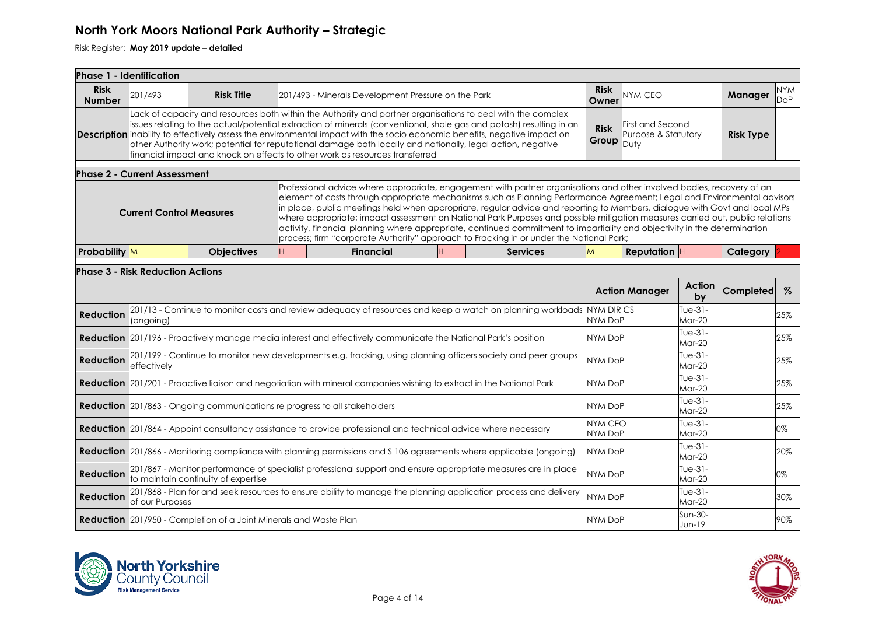|                              | <b>Phase 1 - Identification</b>         |                                                                          |   |                                                                                                                                                                                                                                                                                                                                                                                                                                                                                                                                                                                                                                                                                                                                           |                 |                                  |                                                 |                      |                  |                   |
|------------------------------|-----------------------------------------|--------------------------------------------------------------------------|---|-------------------------------------------------------------------------------------------------------------------------------------------------------------------------------------------------------------------------------------------------------------------------------------------------------------------------------------------------------------------------------------------------------------------------------------------------------------------------------------------------------------------------------------------------------------------------------------------------------------------------------------------------------------------------------------------------------------------------------------------|-----------------|----------------------------------|-------------------------------------------------|----------------------|------------------|-------------------|
| <b>Risk</b><br><b>Number</b> | 201/493                                 | <b>Risk Title</b>                                                        |   | 201/493 - Minerals Development Pressure on the Park                                                                                                                                                                                                                                                                                                                                                                                                                                                                                                                                                                                                                                                                                       |                 | <b>Risk</b><br>Owner             | <b>JYM CEO</b>                                  |                      | Manager          | <b>NYM</b><br>DoP |
|                              |                                         |                                                                          |   | Lack of capacity and resources both within the Authority and partner organisations to deal with the complex<br>issues relating to the actual/potential extraction of minerals (conventional, shale gas and potash) resulting in an<br>Description inability to effectively assess the environmental impact with the socio economic benefits, negative impact on<br>other Authority work; potential for reputational damage both locally and nationally, legal action, negative<br>financial impact and knock on effects to other work as resources transferred                                                                                                                                                                            |                 | <b>Risk</b><br>Group             | First and Second<br>Purpose & Statutory<br>Dutv |                      | <b>Risk Type</b> |                   |
|                              | <b>Phase 2 - Current Assessment</b>     |                                                                          |   |                                                                                                                                                                                                                                                                                                                                                                                                                                                                                                                                                                                                                                                                                                                                           |                 |                                  |                                                 |                      |                  |                   |
|                              | <b>Current Control Measures</b>         |                                                                          |   | Professional advice where appropriate, engagement with partner organisations and other involved bodies, recovery of an<br>element of costs through appropriate mechanisms such as Planning Performance Agreement; Legal and Environmental advisors<br>in place, public meetings held when appropriate, regular advice and reporting to Members, dialogue with Govt and local MPs<br>where appropriate; impact assessment on National Park Purposes and possible mitigation measures carried out, public relations<br>activity, financial planning where appropriate, continued commitment to impartiality and objectivity in the determination<br>process; firm "corporate Authority" approach to Fracking in or under the National Park; |                 |                                  |                                                 |                      |                  |                   |
| Probability M                |                                         | <b>Objectives</b>                                                        | H | <b>Financial</b>                                                                                                                                                                                                                                                                                                                                                                                                                                                                                                                                                                                                                                                                                                                          | <b>Services</b> | M                                | Reputation H                                    |                      | Category         |                   |
|                              | <b>Phase 3 - Risk Reduction Actions</b> |                                                                          |   |                                                                                                                                                                                                                                                                                                                                                                                                                                                                                                                                                                                                                                                                                                                                           |                 |                                  |                                                 |                      |                  |                   |
|                              |                                         |                                                                          |   |                                                                                                                                                                                                                                                                                                                                                                                                                                                                                                                                                                                                                                                                                                                                           |                 |                                  | <b>Action Manager</b>                           | <b>Action</b><br>by  | Completed        | $\%$              |
| <b>Reduction</b>             | (ongoing)                               |                                                                          |   | 201/13 - Continue to monitor costs and review adequacy of resources and keep a watch on planning workloads NYM DIR CS                                                                                                                                                                                                                                                                                                                                                                                                                                                                                                                                                                                                                     |                 | NYM DoP                          |                                                 | Tue-31-<br>Mar-20    |                  | 25%               |
|                              |                                         |                                                                          |   | <b>Reduction</b> 201/196 - Proactively manage media interest and effectively communicate the National Park's position                                                                                                                                                                                                                                                                                                                                                                                                                                                                                                                                                                                                                     |                 | <b>NYM DoP</b>                   |                                                 | Tue-31-<br>Mar-20    |                  | 25%               |
| <b>Reduction</b>             | effectively                             |                                                                          |   | 201/199 - Continue to monitor new developments e.g. fracking, using planning officers society and peer groups                                                                                                                                                                                                                                                                                                                                                                                                                                                                                                                                                                                                                             |                 | NYM DoP                          |                                                 | Tue-31-<br>Mar-20    |                  | 25%               |
|                              |                                         |                                                                          |   | Reduction 201/201 - Proactive liaison and negotiation with mineral companies wishing to extract in the National Park                                                                                                                                                                                                                                                                                                                                                                                                                                                                                                                                                                                                                      |                 | <b>NYM DoP</b>                   |                                                 | Tue-31-<br>Mar-20    |                  | 25%               |
|                              |                                         |                                                                          |   | <b>Reduction</b> 201/863 - Ongoing communications re progress to all stakeholders                                                                                                                                                                                                                                                                                                                                                                                                                                                                                                                                                                                                                                                         |                 | NYM DoP                          |                                                 | Tue-31-<br>Mar-20    |                  | 25%               |
|                              |                                         |                                                                          |   | <b>Reduction</b> 201/864 - Appoint consultancy assistance to provide professional and technical advice where necessary                                                                                                                                                                                                                                                                                                                                                                                                                                                                                                                                                                                                                    |                 | <b>NYM CEO</b><br><b>NYM DoP</b> |                                                 | Tue- $31-$<br>Mar-20 |                  | 0%                |
|                              |                                         |                                                                          |   | <b>Reduction</b> 201/866 - Monitoring compliance with planning permissions and S 106 agreements where applicable (ongoing)                                                                                                                                                                                                                                                                                                                                                                                                                                                                                                                                                                                                                |                 | <b>NYM DoP</b>                   |                                                 | Tue-31-<br>Mar-20    |                  | 20%               |
|                              |                                         | to maintain continuity of expertise                                      |   | <b>Reduction</b> 201/867 - Monitor performance of specialist professional support and ensure appropriate measures are in place                                                                                                                                                                                                                                                                                                                                                                                                                                                                                                                                                                                                            |                 | <b>NYM DoP</b>                   |                                                 | Tue-31-<br>Mar-20    |                  | 0%                |
| <b>Reduction</b>             | of our Purposes                         |                                                                          |   | 201/868 - Plan for and seek resources to ensure ability to manage the planning application process and delivery                                                                                                                                                                                                                                                                                                                                                                                                                                                                                                                                                                                                                           |                 | NYM DoP                          |                                                 | Tue- $31-$<br>Mar-20 |                  | 30%               |
|                              |                                         | <b>Reduction</b> 201/950 - Completion of a Joint Minerals and Waste Plan |   |                                                                                                                                                                                                                                                                                                                                                                                                                                                                                                                                                                                                                                                                                                                                           |                 | <b>NYM DoP</b>                   |                                                 | Sun-30-<br>Jun-19    |                  | 90%               |



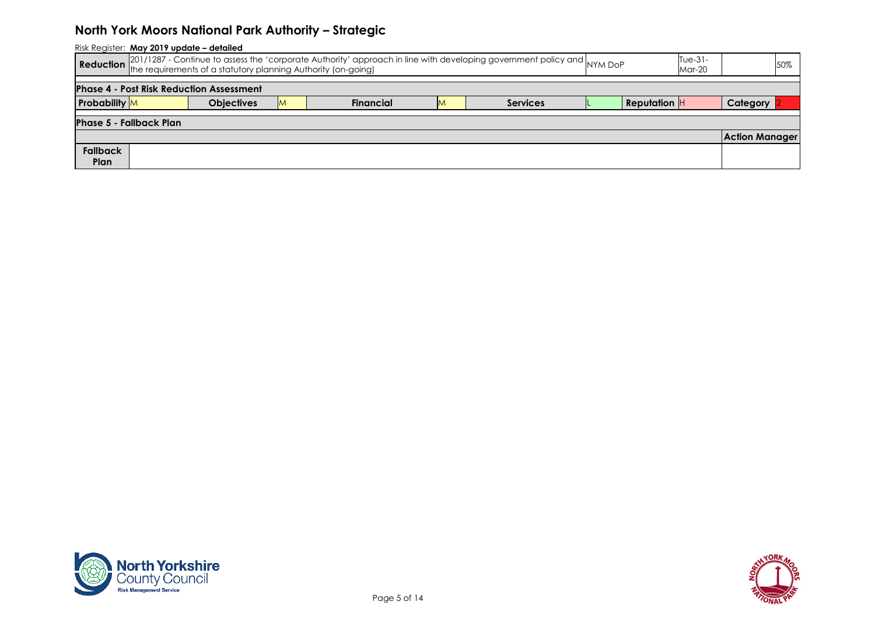| Risk Register: May 2019 update - detailed                                                                                                                 |                                |                   |  |                  |    |                 |  |                       |  |                       |  |  |
|-----------------------------------------------------------------------------------------------------------------------------------------------------------|--------------------------------|-------------------|--|------------------|----|-----------------|--|-----------------------|--|-----------------------|--|--|
| Reduction 201/1287 - Continue to assess the 'corporate Authority' approach in line with developing government policy and NYM DoP<br>$Tue-31-$<br>$Mar-20$ |                                |                   |  |                  |    |                 |  |                       |  |                       |  |  |
| <b>Phase 4 - Post Risk Reduction Assessment</b>                                                                                                           |                                |                   |  |                  |    |                 |  |                       |  |                       |  |  |
| <b>Probability</b> M                                                                                                                                      |                                | <b>Objectives</b> |  | <b>Financial</b> | ΙM | <b>Services</b> |  | <b>Reputation</b> $H$ |  | <b>Category</b>       |  |  |
|                                                                                                                                                           | <b>Phase 5 - Fallback Plan</b> |                   |  |                  |    |                 |  |                       |  |                       |  |  |
|                                                                                                                                                           |                                |                   |  |                  |    |                 |  |                       |  | <b>Action Manager</b> |  |  |
| <b>Fallback</b>                                                                                                                                           |                                |                   |  |                  |    |                 |  |                       |  |                       |  |  |
| Plan                                                                                                                                                      |                                |                   |  |                  |    |                 |  |                       |  |                       |  |  |



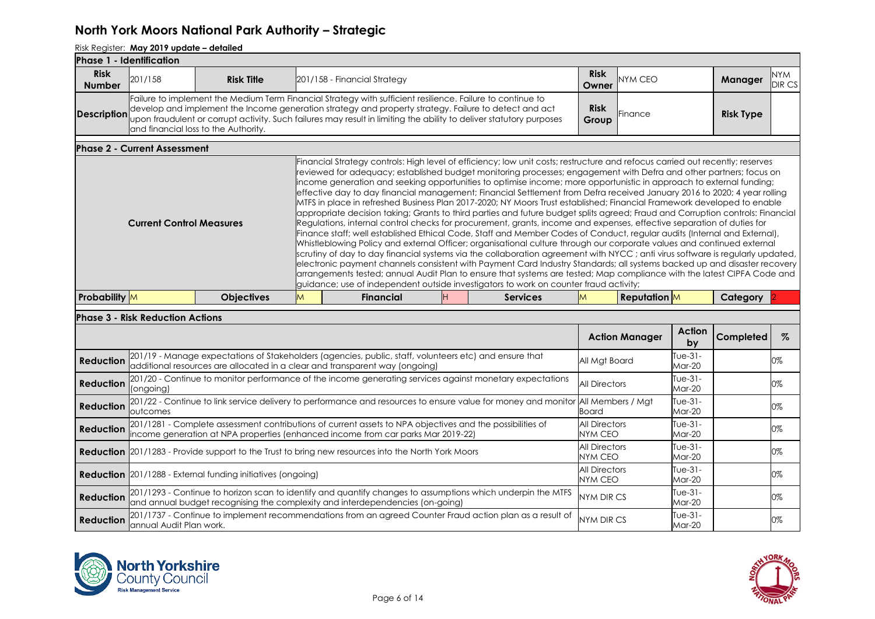| lPhase 1 - Identification    |                                         |                                      |   |                                                                                                                                                                                                                                                                                                                                                                                                                                                                                                                                                                                                                                                                                                                                                                                                                                                                                                                                                                                                                                                                                                                                                                                                                                                                                                                                                                                                                                                                                                                                                                                                                                     |                 |                      |                   |                                                |                  |                      |
|------------------------------|-----------------------------------------|--------------------------------------|---|-------------------------------------------------------------------------------------------------------------------------------------------------------------------------------------------------------------------------------------------------------------------------------------------------------------------------------------------------------------------------------------------------------------------------------------------------------------------------------------------------------------------------------------------------------------------------------------------------------------------------------------------------------------------------------------------------------------------------------------------------------------------------------------------------------------------------------------------------------------------------------------------------------------------------------------------------------------------------------------------------------------------------------------------------------------------------------------------------------------------------------------------------------------------------------------------------------------------------------------------------------------------------------------------------------------------------------------------------------------------------------------------------------------------------------------------------------------------------------------------------------------------------------------------------------------------------------------------------------------------------------------|-----------------|----------------------|-------------------|------------------------------------------------|------------------|----------------------|
| <b>Risk</b><br><b>Number</b> | 201/158                                 | <b>Risk Title</b>                    |   | 201/158 - Financial Strategy                                                                                                                                                                                                                                                                                                                                                                                                                                                                                                                                                                                                                                                                                                                                                                                                                                                                                                                                                                                                                                                                                                                                                                                                                                                                                                                                                                                                                                                                                                                                                                                                        |                 | <b>Risk</b><br>Owner | <b>NYM CEO</b>    |                                                | <b>Manager</b>   | <b>NYM</b><br>DIR CS |
| <b>Description</b>           |                                         | and financial loss to the Authority. |   | Failure to implement the Medium Term Financial Strategy with sufficient resilience. Failure to continue to<br>develop and implement the Income generation strategy and property strategy. Failure to detect and act<br>upon fraudulent or corrupt activity. Such failures may result in limiting the ability to deliver statutory purposes                                                                                                                                                                                                                                                                                                                                                                                                                                                                                                                                                                                                                                                                                                                                                                                                                                                                                                                                                                                                                                                                                                                                                                                                                                                                                          |                 | <b>Risk</b><br>Group | <b>IFinance</b>   |                                                | <b>Risk Type</b> |                      |
|                              | <b>Phase 2 - Current Assessment</b>     |                                      |   |                                                                                                                                                                                                                                                                                                                                                                                                                                                                                                                                                                                                                                                                                                                                                                                                                                                                                                                                                                                                                                                                                                                                                                                                                                                                                                                                                                                                                                                                                                                                                                                                                                     |                 |                      |                   |                                                |                  |                      |
|                              | <b>Current Control Measures</b>         |                                      |   | Financial Strategy controls: High level of efficiency; low unit costs; restructure and refocus carried out recently; reserves<br>reviewed for adequacy; established budget monitoring processes; engagement with Defra and other partners; focus on<br>income generation and seeking opportunities to optimise income; more opportunistic in approach to external funding;<br>effective day to day financial management; Financial Settlement from Defra received January 2016 to 2020; 4 year rolling<br>MTFS in place in refreshed Business Plan 2017-2020; NY Moors Trust established; Financial Framework developed to enable<br>appropriate decision taking; Grants to third parties and future budget splits agreed; Fraud and Corruption controls: Financial<br>Regulations, internal control checks for procurement, grants, income and expenses, effective separation of duties for<br>Finance staff; well established Ethical Code, Staff and Member Codes of Conduct, regular audits (Internal and External),<br>Whistleblowing Policy and external Officer; organisational culture through our corporate values and continued external<br>scrutiny of day to day financial systems via the collaboration agreement with NYCC; anti virus software is regularly updated,<br>electronic payment channels consistent with Payment Card Industry Standards; all systems backed up and disaster recovery<br>arrangements tested; annual Audit Plan to ensure that systems are tested; Map compliance with the latest CIPFA Code and<br>guidance; use of independent outside investigators to work on counter fraud activity; |                 |                      |                   |                                                |                  |                      |
| <b>Probability</b> M         |                                         | <b>Objectives</b>                    | M | <b>Financial</b>                                                                                                                                                                                                                                                                                                                                                                                                                                                                                                                                                                                                                                                                                                                                                                                                                                                                                                                                                                                                                                                                                                                                                                                                                                                                                                                                                                                                                                                                                                                                                                                                                    | <b>Services</b> | M                    | <b>Reputation</b> |                                                | Category         |                      |
|                              | <b>Phase 3 - Risk Reduction Actions</b> |                                      |   |                                                                                                                                                                                                                                                                                                                                                                                                                                                                                                                                                                                                                                                                                                                                                                                                                                                                                                                                                                                                                                                                                                                                                                                                                                                                                                                                                                                                                                                                                                                                                                                                                                     |                 |                      |                   | $\mathbf{A}$ and $\mathbf{B}$ and $\mathbf{A}$ |                  |                      |

|                  |                                                                                                                                                                                              | <b>Action Manager</b>           | Action<br>by                | Completed |    |
|------------------|----------------------------------------------------------------------------------------------------------------------------------------------------------------------------------------------|---------------------------------|-----------------------------|-----------|----|
| <b>Reduction</b> | 201/19 - Manage expectations of Stakeholders (agencies, public, staff, volunteers etc) and ensure that<br>additional resources are allocated in a clear and transparent way (ongoing)        | All Mat Board                   | Tue-31-<br><b>Mar-20</b>    |           | 0% |
| <b>Reduction</b> | [201/20 - Continue to monitor performance of the income generating services against monetary expectations<br>(ongoing)                                                                       | <b>All Directors</b>            | Tue-31-<br><b>Mar-20</b>    |           | 0% |
| <b>Reduction</b> | 201/22 - Continue to link service delivery to performance and resources to ensure value for money and monitor All Members / Mgt<br>outcomes                                                  | Board                           | Tue-31-<br><b>Mar-20</b>    |           | 0% |
| <b>Reduction</b> | 201/1281 - Complete assessment contributions of current assets to NPA objectives and the possibilities of income generation at NPA properties (enhanced income from car parks Mar 2019-22)   | <b>All Directors</b><br>NYM CEO | Tue- $31-$<br><b>Mar-20</b> |           | 0% |
|                  | <b>Reduction</b> 201/1283 - Provide support to the Trust to bring new resources into the North York Moors                                                                                    | <b>All Directors</b><br>NYM CEO | Tue- $31-$<br><b>Mar-20</b> |           | 0% |
|                  | <b>Reduction</b> 201/1288 - External funding initiatives (ongoing)                                                                                                                           | <b>All Directors</b><br>NYM CEO | Tue-31-<br><b>Mar-20</b>    |           | 0% |
| <b>Reduction</b> | 201/1293 - Continue to horizon scan to identify and quantify changes to assumptions which underpin the MTFS<br>and annual budget recognising the complexity and interdependencies (on-going) | <b>NYM DIR CS</b>               | Tue-31-<br><b>Mar-20</b>    |           | 0% |
| <b>Reduction</b> | 201/1737 - Continue to implement recommendations from an agreed Counter Fraud action plan as a result of<br>annual Audit Plan work.                                                          | <b>NYM DIR CS</b>               | Tue-31-<br>Mar-20           |           | 0% |



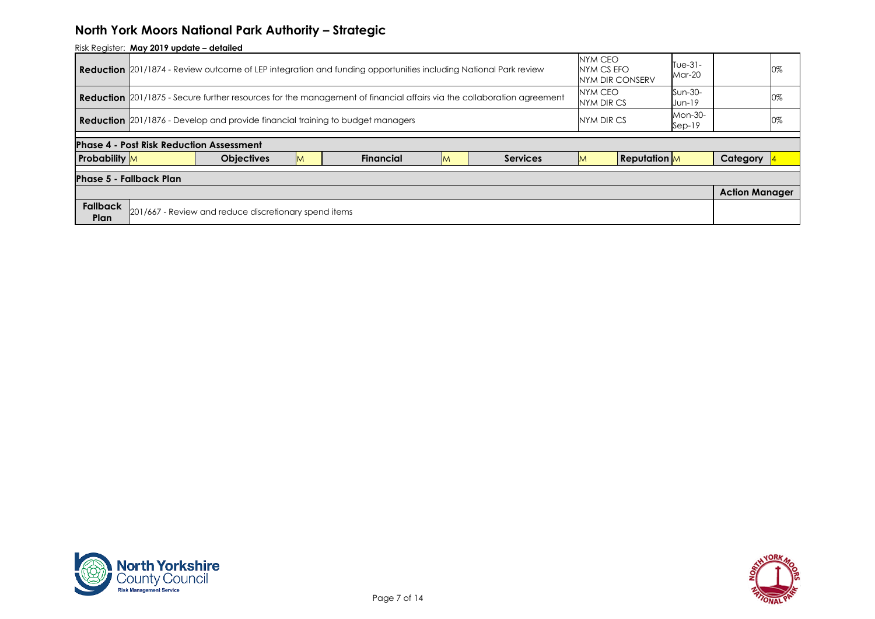| Risk Register: May 2019 update - detailed                                                                                    |                                          |                          |                       |  |  |  |  |  |  |  |  |
|------------------------------------------------------------------------------------------------------------------------------|------------------------------------------|--------------------------|-----------------------|--|--|--|--|--|--|--|--|
| <b>Reduction</b> 201/1874 - Review outcome of LEP integration and funding opportunities including National Park review       | NYM CEO<br>NYM CS EFO<br>NYM DIR CONSERV | Tue-31-<br><b>Mar-20</b> | 0%                    |  |  |  |  |  |  |  |  |
| <b>Reduction</b> 201/1875 - Secure further resources for the management of financial affairs via the collaboration agreement | NYM CEO<br>NYM DIR CS                    | Sun-30-<br>Jun-19        | 0%                    |  |  |  |  |  |  |  |  |
| Mon-30-<br><b>Reduction</b> 201/1876 - Develop and provide financial training to budget managers<br>NYM DIR CS<br>$Sep-19$   |                                          |                          |                       |  |  |  |  |  |  |  |  |
|                                                                                                                              |                                          |                          |                       |  |  |  |  |  |  |  |  |
|                                                                                                                              |                                          |                          |                       |  |  |  |  |  |  |  |  |
| <b>Phase 4 - Post Risk Reduction Assessment</b>                                                                              |                                          |                          |                       |  |  |  |  |  |  |  |  |
| <b>Probability</b> M<br><b>Objectives</b><br><b>Services</b><br><b>Financial</b><br>IM<br>M                                  | <b>Reputation</b><br><b>M</b>            |                          | Category              |  |  |  |  |  |  |  |  |
| <b>Phase 5 - Fallback Plan</b>                                                                                               |                                          |                          |                       |  |  |  |  |  |  |  |  |
|                                                                                                                              |                                          |                          | <b>Action Manager</b> |  |  |  |  |  |  |  |  |



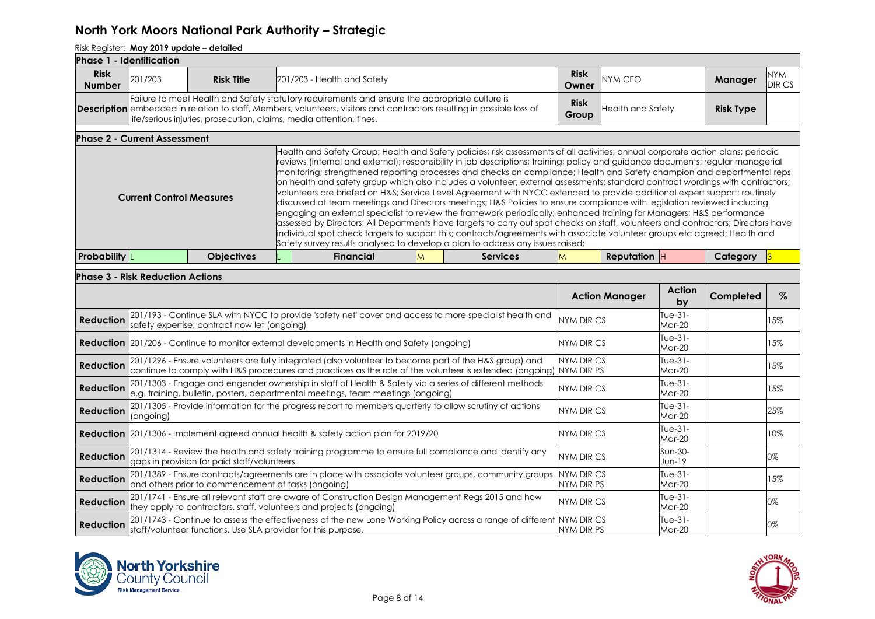| <b>Phase 1 - Identification</b> |                                         |                                                                     |                                                                                                                                                                                                                                 |   |                                                                                                                                                                                                                                                                                                                                                                                                                                                                                                                                                                                                                                                                                                                                                                                                                                                                                                                                                                                                                                                                                                                                                                                                                                                                          |                                        |                       |                      |                  |                |
|---------------------------------|-----------------------------------------|---------------------------------------------------------------------|---------------------------------------------------------------------------------------------------------------------------------------------------------------------------------------------------------------------------------|---|--------------------------------------------------------------------------------------------------------------------------------------------------------------------------------------------------------------------------------------------------------------------------------------------------------------------------------------------------------------------------------------------------------------------------------------------------------------------------------------------------------------------------------------------------------------------------------------------------------------------------------------------------------------------------------------------------------------------------------------------------------------------------------------------------------------------------------------------------------------------------------------------------------------------------------------------------------------------------------------------------------------------------------------------------------------------------------------------------------------------------------------------------------------------------------------------------------------------------------------------------------------------------|----------------------------------------|-----------------------|----------------------|------------------|----------------|
| <b>Risk</b><br><b>Number</b>    | 201/203                                 | <b>Risk Title</b>                                                   | 201/203 - Health and Safety                                                                                                                                                                                                     |   |                                                                                                                                                                                                                                                                                                                                                                                                                                                                                                                                                                                                                                                                                                                                                                                                                                                                                                                                                                                                                                                                                                                                                                                                                                                                          | <b>Risk</b><br>Owner                   | <b>NYM CEO</b>        |                      | Manager          | NYM<br>DIR CS  |
|                                 |                                         | life/serious injuries, prosecution, claims, media attention, fines. | Failure to meet Health and Safety statutory requirements and ensure the appropriate culture is<br><b>Description</b> embedded in relation to staff, Members, volunteers, visitors and contractors resulting in possible loss of |   |                                                                                                                                                                                                                                                                                                                                                                                                                                                                                                                                                                                                                                                                                                                                                                                                                                                                                                                                                                                                                                                                                                                                                                                                                                                                          | <b>Risk</b><br>Group                   | Health and Safety     |                      | <b>Risk Type</b> |                |
|                                 | <b>Phase 2 - Current Assessment</b>     |                                                                     |                                                                                                                                                                                                                                 |   |                                                                                                                                                                                                                                                                                                                                                                                                                                                                                                                                                                                                                                                                                                                                                                                                                                                                                                                                                                                                                                                                                                                                                                                                                                                                          |                                        |                       |                      |                  |                |
|                                 | <b>Current Control Measures</b>         |                                                                     |                                                                                                                                                                                                                                 |   | Health and Safety Group; Health and Safety policies; risk assessments of all activities; annual corporate action plans; periodic<br>reviews (internal and external); responsibility in job descriptions; training; policy and guidance documents; regular managerial<br>monitoring; strengthened reporting processes and checks on compliance; Health and Safety champion and departmental reps<br>on health and safety group which also includes a volunteer; external assessments; standard contract wordings with contractors;<br>volunteers are briefed on H&S Service Level Agreement with NYCC extended to provide additional expert support; routinely<br>discussed at team meetings and Directors meetings; H&S Policies to ensure compliance with legislation reviewed including<br>lengaging an external specialist to review the framework periodically; enhanced training for Managers; H&S performance<br>assessed by Directors; All Departments have targets to carry out spot checks on staff, volunteers and contractors; Directors have<br>individual spot check targets to support this; contracts/agreements with associate volunteer groups etc agreed; Health and<br>Safety survey results analysed to develop a plan to address any issues raised; |                                        |                       |                      |                  |                |
| <b>Probability</b>              |                                         | <b>Objectives</b>                                                   | <b>Financial</b>                                                                                                                                                                                                                | M | <b>Services</b>                                                                                                                                                                                                                                                                                                                                                                                                                                                                                                                                                                                                                                                                                                                                                                                                                                                                                                                                                                                                                                                                                                                                                                                                                                                          | M                                      | <b>Reputation</b> $H$ |                      | Category         | $\overline{3}$ |
|                                 | <b>Phase 3 - Risk Reduction Actions</b> |                                                                     |                                                                                                                                                                                                                                 |   |                                                                                                                                                                                                                                                                                                                                                                                                                                                                                                                                                                                                                                                                                                                                                                                                                                                                                                                                                                                                                                                                                                                                                                                                                                                                          |                                        |                       |                      |                  |                |
|                                 |                                         |                                                                     |                                                                                                                                                                                                                                 |   |                                                                                                                                                                                                                                                                                                                                                                                                                                                                                                                                                                                                                                                                                                                                                                                                                                                                                                                                                                                                                                                                                                                                                                                                                                                                          |                                        | <b>Action Manager</b> | Action<br>by         | Completed        | $\%$           |
| <b>Reduction</b>                |                                         | safety expertise; contract now let (ongoing)                        |                                                                                                                                                                                                                                 |   | 201/193 - Continue SLA with NYCC to provide 'safety net' cover and access to more specialist health and                                                                                                                                                                                                                                                                                                                                                                                                                                                                                                                                                                                                                                                                                                                                                                                                                                                                                                                                                                                                                                                                                                                                                                  | <b>NYM DIR CS</b>                      |                       | Tue- $31-$<br>Mar-20 |                  | 15%            |
|                                 |                                         |                                                                     | <b>Reduction</b> 201/206 - Continue to monitor external developments in Health and Safety (ongoing)                                                                                                                             |   |                                                                                                                                                                                                                                                                                                                                                                                                                                                                                                                                                                                                                                                                                                                                                                                                                                                                                                                                                                                                                                                                                                                                                                                                                                                                          | <b>NYM DIR CS</b>                      |                       | Tue- $31-$<br>Mar-20 |                  | 15%            |
| <b>Reduction</b>                |                                         |                                                                     | 201/1296 - Ensure volunteers are fully integrated (also volunteer to become part of the H&S group) and                                                                                                                          |   | continue to comply with H&S procedures and practices as the role of the volunteer is extended (ongoing)                                                                                                                                                                                                                                                                                                                                                                                                                                                                                                                                                                                                                                                                                                                                                                                                                                                                                                                                                                                                                                                                                                                                                                  | <b>NYM DIR CS</b><br>NYM DIR PS        |                       | Tue-31-<br>Mar-20    |                  | 15%            |
| <b>Reduction</b>                |                                         |                                                                     | 201/1303 - Engage and engender ownership in staff of Health & Safety via a series of different methods<br>e.g. training, bulletin, posters, departmental meetings, team meetings (ongoing)                                      |   |                                                                                                                                                                                                                                                                                                                                                                                                                                                                                                                                                                                                                                                                                                                                                                                                                                                                                                                                                                                                                                                                                                                                                                                                                                                                          | NYM DIR CS                             |                       | Tue-31-<br>Mar-20    |                  | 15%            |
| <b>Reduction</b>                | (ongoing)                               |                                                                     | 201/1305 - Provide information for the progress report to members quarterly to allow scrutiny of actions                                                                                                                        |   |                                                                                                                                                                                                                                                                                                                                                                                                                                                                                                                                                                                                                                                                                                                                                                                                                                                                                                                                                                                                                                                                                                                                                                                                                                                                          | <b>NYM DIR CS</b>                      |                       | Tue-31-<br>Mar-20    |                  | 25%            |
|                                 |                                         |                                                                     | <b>Reduction</b> 201/1306 - Implement agreed annual health & safety action plan for 2019/20                                                                                                                                     |   |                                                                                                                                                                                                                                                                                                                                                                                                                                                                                                                                                                                                                                                                                                                                                                                                                                                                                                                                                                                                                                                                                                                                                                                                                                                                          | NYM DIR CS                             |                       | Tue-31-<br>Mar-20    |                  | 10%            |
| <b>Reduction</b>                |                                         | gaps in provision for paid staff/volunteers                         | 201/1314 - Review the health and safety training programme to ensure full compliance and identify any                                                                                                                           |   |                                                                                                                                                                                                                                                                                                                                                                                                                                                                                                                                                                                                                                                                                                                                                                                                                                                                                                                                                                                                                                                                                                                                                                                                                                                                          | NYM DIR CS                             |                       | Sun-30-<br>Jun-19    |                  | 0%             |
| <b>Reduction</b>                |                                         | and others prior to commencement of tasks (ongoing)                 |                                                                                                                                                                                                                                 |   | 201/1389 - Ensure contracts/agreements are in place with associate volunteer groups, community groups                                                                                                                                                                                                                                                                                                                                                                                                                                                                                                                                                                                                                                                                                                                                                                                                                                                                                                                                                                                                                                                                                                                                                                    | <b>NYM DIR CS</b><br><b>NYM DIR PS</b> |                       | Tue-31-<br>Mar-20    |                  | 15%            |
| <b>Reduction</b>                |                                         |                                                                     | 201/1741 - Ensure all relevant staff are aware of Construction Design Management Regs 2015 and how<br>they apply to contractors, staff, volunteers and projects (ongoing)                                                       |   |                                                                                                                                                                                                                                                                                                                                                                                                                                                                                                                                                                                                                                                                                                                                                                                                                                                                                                                                                                                                                                                                                                                                                                                                                                                                          | NYM DIR CS                             |                       | $Tue-31-$<br>Mar-20  |                  | 0%             |
| <b>Reduction</b>                |                                         | staff/volunteer functions. Use SLA provider for this purpose.       |                                                                                                                                                                                                                                 |   | 201/1743 - Continue to assess the effectiveness of the new Lone Working Policy across a range of different NYM DIR CS                                                                                                                                                                                                                                                                                                                                                                                                                                                                                                                                                                                                                                                                                                                                                                                                                                                                                                                                                                                                                                                                                                                                                    | NYM DIR PS                             |                       | Tue-31-<br>$Mar-20$  |                  | 0%             |



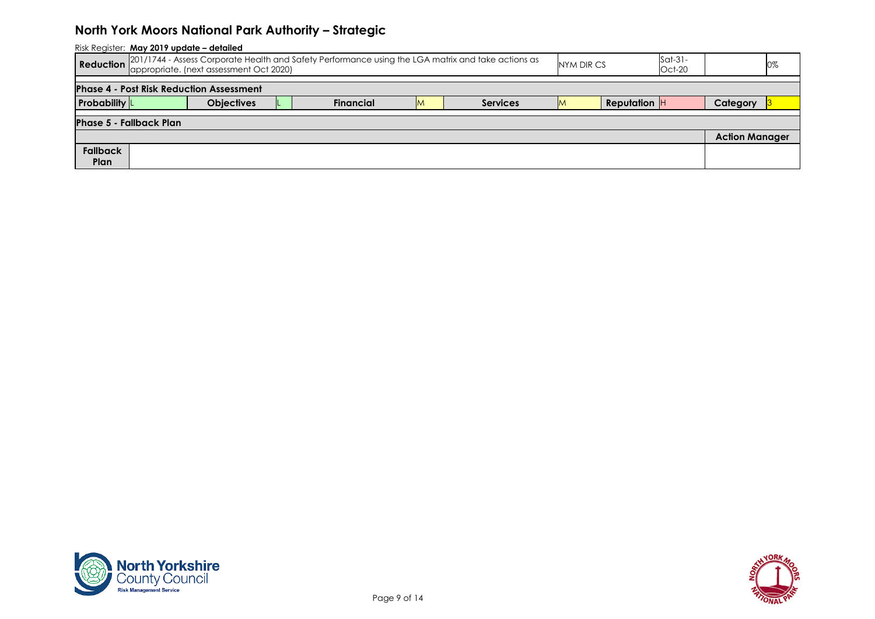| Risk Register: May 2019 update - detailed                                                                                                                                                       |                                                 |                   |  |                  |  |                 |  |                     |  |                       |  |  |
|-------------------------------------------------------------------------------------------------------------------------------------------------------------------------------------------------|-------------------------------------------------|-------------------|--|------------------|--|-----------------|--|---------------------|--|-----------------------|--|--|
| 201/1744 - Assess Corporate Health and Safety Performance using the LGA matrix and take actions as<br>$Sat-31-$<br>Reduction<br>NYM DIR CS<br>appropriate. (next assessment Oct 2020)<br>Oct-20 |                                                 |                   |  |                  |  |                 |  |                     |  |                       |  |  |
|                                                                                                                                                                                                 | <b>Phase 4 - Post Risk Reduction Assessment</b> |                   |  |                  |  |                 |  |                     |  |                       |  |  |
| <b>Probability</b>                                                                                                                                                                              |                                                 | <b>Objectives</b> |  | <b>Financial</b> |  | <b>Services</b> |  | <b>Reputation</b> H |  | Category              |  |  |
|                                                                                                                                                                                                 | <b>Phase 5 - Fallback Plan</b>                  |                   |  |                  |  |                 |  |                     |  |                       |  |  |
|                                                                                                                                                                                                 |                                                 |                   |  |                  |  |                 |  |                     |  | <b>Action Manager</b> |  |  |
| <b>Fallback</b>                                                                                                                                                                                 |                                                 |                   |  |                  |  |                 |  |                     |  |                       |  |  |
| Plan                                                                                                                                                                                            |                                                 |                   |  |                  |  |                 |  |                     |  |                       |  |  |



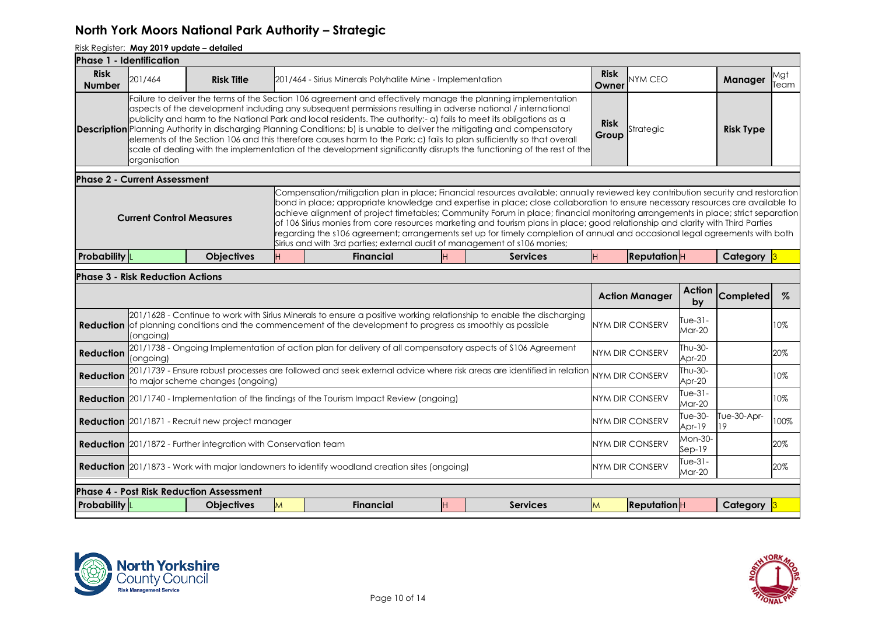|                              | <b>Phase 1 - Identification</b>         |                                                                        |    |                                                                                                                                                                                                                                                                                                                                                                                                                                                                                                                                                                                                                                                                                                                                                         |                 |                      |                        |                        |                   |             |
|------------------------------|-----------------------------------------|------------------------------------------------------------------------|----|---------------------------------------------------------------------------------------------------------------------------------------------------------------------------------------------------------------------------------------------------------------------------------------------------------------------------------------------------------------------------------------------------------------------------------------------------------------------------------------------------------------------------------------------------------------------------------------------------------------------------------------------------------------------------------------------------------------------------------------------------------|-----------------|----------------------|------------------------|------------------------|-------------------|-------------|
| <b>Risk</b><br><b>Number</b> | 201/464                                 | <b>Risk Title</b>                                                      |    | 201/464 - Sirius Minerals Polyhalite Mine - Implementation                                                                                                                                                                                                                                                                                                                                                                                                                                                                                                                                                                                                                                                                                              |                 | <b>Risk</b><br>Owner | NYM CEO                |                        | Manager           | Mgt<br>Team |
|                              | organisation                            |                                                                        |    | Failure to deliver the terms of the Section 106 agreement and effectively manage the planning implementation<br>aspects of the development including any subsequent permissions resulting in adverse national / international<br>publicity and harm to the National Park and local residents. The authority:- a) fails to meet its obligations as a<br><b>Description</b> Planning Authority in discharging Planning Conditions; b) is unable to deliver the mitigating and compensatory<br>elements of the Section 106 and this therefore causes harm to the Park; c) fails to plan sufficiently so that overall<br>scale of dealing with the implementation of the development significantly disrupts the functioning of the rest of the              |                 | <b>Risk</b><br>Group | Strategic              |                        | <b>Risk Type</b>  |             |
|                              | <b>Phase 2 - Current Assessment</b>     |                                                                        |    |                                                                                                                                                                                                                                                                                                                                                                                                                                                                                                                                                                                                                                                                                                                                                         |                 |                      |                        |                        |                   |             |
|                              | <b>Current Control Measures</b>         |                                                                        |    | Compensation/mitigation plan in place; Financial resources available; annually reviewed key contribution security and restoration<br>bond in place; appropriate knowledge and expertise in place; close collaboration to ensure necessary resources are available to<br>achieve alignment of project timetables; Community Forum in place; financial monitoring arrangements in place; strict separation<br>of 106 Sirius monies from core resources marketing and tourism plans in place; good relationship and clarity with Third Parties<br>regarding the s106 agreement; arrangements set up for timely completion of annual and occasional legal agreements with both<br>Sirius and with 3rd parties; external audit of management of s106 monies; |                 |                      |                        |                        |                   |             |
| <b>Probability</b>           |                                         | <b>Objectives</b>                                                      | H. | <b>Financial</b><br>H                                                                                                                                                                                                                                                                                                                                                                                                                                                                                                                                                                                                                                                                                                                                   | <b>Services</b> | H                    | ReputationH            |                        | Category 3        |             |
|                              | <b>Phase 3 - Risk Reduction Actions</b> |                                                                        |    |                                                                                                                                                                                                                                                                                                                                                                                                                                                                                                                                                                                                                                                                                                                                                         |                 |                      |                        |                        |                   |             |
|                              |                                         |                                                                        |    |                                                                                                                                                                                                                                                                                                                                                                                                                                                                                                                                                                                                                                                                                                                                                         |                 |                      | <b>Action Manager</b>  | <b>Action</b><br>bv    | <b>Completed</b>  | $\%$        |
|                              | (ongoing)                               |                                                                        |    | 201/1628 - Continue to work with Sirius Minerals to ensure a positive working relationship to enable the discharging<br><b>Reduction</b> of planning conditions and the commencement of the development to progress as smoothly as possible                                                                                                                                                                                                                                                                                                                                                                                                                                                                                                             |                 |                      | NYM DIR CONSERV        | Tue- $31-$<br>Mar-20   |                   | 10%         |
| <b>Reduction</b>             | (ongoing)                               |                                                                        |    | 201/1738 - Ongoing Implementation of action plan for delivery of all compensatory aspects of \$106 Agreement                                                                                                                                                                                                                                                                                                                                                                                                                                                                                                                                                                                                                                            |                 |                      | <b>NYM DIR CONSERV</b> | Thu-30-<br>Apr-20      |                   | 20%         |
| <b>Reduction</b>             |                                         | to major scheme changes (ongoing)                                      |    | 201/1739 - Ensure robust processes are followed and seek external advice where risk areas are identified in relation                                                                                                                                                                                                                                                                                                                                                                                                                                                                                                                                                                                                                                    |                 |                      | NYM DIR CONSERV        | Thu-30-<br>Apr-20      |                   | 10%         |
|                              |                                         |                                                                        |    | <b>Reduction</b> 201/1740 - Implementation of the findings of the Tourism Impact Review (ongoing)                                                                                                                                                                                                                                                                                                                                                                                                                                                                                                                                                                                                                                                       |                 |                      | <b>NYM DIR CONSERV</b> | Tue- $31-$<br>$Mar-20$ |                   | 10%         |
|                              |                                         | <b>Reduction</b> 201/1871 - Recruit new project manager                |    |                                                                                                                                                                                                                                                                                                                                                                                                                                                                                                                                                                                                                                                                                                                                                         |                 |                      | <b>NYM DIR CONSERV</b> | Tue-30-<br>Apr-19      | Tue-30-Apr-<br>19 | 100%        |
|                              |                                         | <b>Reduction</b> 201/1872 - Further integration with Conservation team |    |                                                                                                                                                                                                                                                                                                                                                                                                                                                                                                                                                                                                                                                                                                                                                         |                 |                      | <b>NYM DIR CONSERV</b> | Mon-30-<br>$Sep-19$    |                   | 20%         |
|                              |                                         |                                                                        |    | <b>Reduction</b> 201/1873 - Work with major landowners to identify woodland creation sites (ongoing)                                                                                                                                                                                                                                                                                                                                                                                                                                                                                                                                                                                                                                                    |                 |                      | NYM DIR CONSERV        | $Tue-31-$<br>Mar-20    |                   | 20%         |
|                              |                                         | <b>Phase 4 - Post Risk Reduction Assessment</b>                        |    |                                                                                                                                                                                                                                                                                                                                                                                                                                                                                                                                                                                                                                                                                                                                                         |                 |                      |                        |                        |                   |             |
| <b>Probability</b>           |                                         | <b>Objectives</b>                                                      | M  | <b>Financial</b><br>H                                                                                                                                                                                                                                                                                                                                                                                                                                                                                                                                                                                                                                                                                                                                   | <b>Services</b> | M                    | ReputationH            |                        | Category          |             |
|                              |                                         |                                                                        |    |                                                                                                                                                                                                                                                                                                                                                                                                                                                                                                                                                                                                                                                                                                                                                         |                 |                      |                        |                        |                   |             |



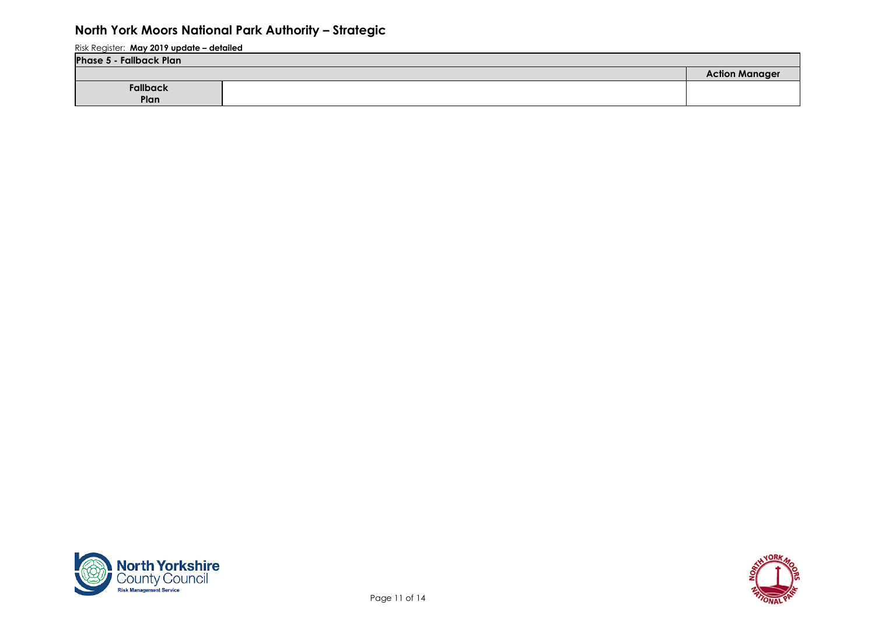| <b>Phase 5 - Fallback Plan</b> |  |                       |  |  |  |  |  |  |  |
|--------------------------------|--|-----------------------|--|--|--|--|--|--|--|
|                                |  | <b>Action Manager</b> |  |  |  |  |  |  |  |
| Fallback                       |  |                       |  |  |  |  |  |  |  |
| Plan                           |  |                       |  |  |  |  |  |  |  |



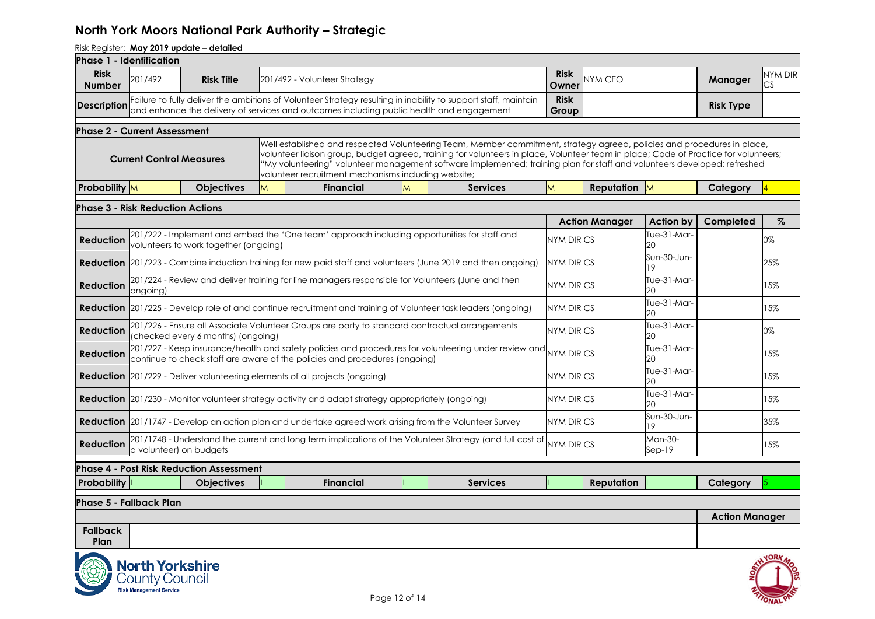| Phase 1 - Identification                |                                                                                   |                                                 |   |                                                                                                    |               |                                                                                                                                                                                                                                                                                                                                                                                            |                      |                       |                     |                       |               |
|-----------------------------------------|-----------------------------------------------------------------------------------|-------------------------------------------------|---|----------------------------------------------------------------------------------------------------|---------------|--------------------------------------------------------------------------------------------------------------------------------------------------------------------------------------------------------------------------------------------------------------------------------------------------------------------------------------------------------------------------------------------|----------------------|-----------------------|---------------------|-----------------------|---------------|
| <b>Risk</b><br><b>Number</b>            | 201/492                                                                           | <b>Risk Title</b>                               |   | 201/492 - Volunteer Strategy                                                                       |               |                                                                                                                                                                                                                                                                                                                                                                                            | <b>Risk</b><br>Owner | <b>NYM CEO</b>        |                     | Manager               | NYM DIR<br>CS |
| <b>Description</b>                      |                                                                                   |                                                 |   |                                                                                                    |               | Failure to fully deliver the ambitions of Volunteer Strategy resulting in inability to support staff, maintain<br>and enhance the delivery of services and outcomes including public health and engagement                                                                                                                                                                                 | <b>Risk</b><br>Group |                       |                     | <b>Risk Type</b>      |               |
| <b>Phase 2 - Current Assessment</b>     |                                                                                   |                                                 |   |                                                                                                    |               |                                                                                                                                                                                                                                                                                                                                                                                            |                      |                       |                     |                       |               |
|                                         | <b>Current Control Measures</b>                                                   |                                                 |   | volunteer recruitment mechanisms including website;                                                |               | Well established and respected Volunteering Team, Member commitment, strategy agreed, policies and procedures in place,<br>volunteer liaison group, budget agreed, training for volunteers in place, Volunteer team in place; Code of Practice for volunteers;<br>"My volunteering" volunteer management software implemented; training plan for staff and volunteers developed; refreshed |                      |                       |                     |                       |               |
| <b>Probability</b> M                    |                                                                                   | <b>Objectives</b>                               | M | <b>Financial</b>                                                                                   |               | <b>Services</b>                                                                                                                                                                                                                                                                                                                                                                            | M                    | <b>Reputation</b> M   |                     | Category              |               |
| <b>Phase 3 - Risk Reduction Actions</b> |                                                                                   |                                                 |   |                                                                                                    |               |                                                                                                                                                                                                                                                                                                                                                                                            |                      |                       |                     |                       |               |
|                                         |                                                                                   |                                                 |   |                                                                                                    |               |                                                                                                                                                                                                                                                                                                                                                                                            |                      | <b>Action Manager</b> | <b>Action by</b>    | Completed             | $\%$          |
| <b>Reduction</b>                        |                                                                                   | volunteers to work together (ongoing)           |   |                                                                                                    |               | 201/222 - Implement and embed the 'One team' approach including opportunities for staff and                                                                                                                                                                                                                                                                                                | <b>NYM DIR CS</b>    |                       | Tue-31-Mar-<br>20   |                       | 0%            |
|                                         |                                                                                   |                                                 |   |                                                                                                    |               | <b>Reduction</b> 201/223 - Combine induction training for new paid staff and volunteers (June 2019 and then ongoing)                                                                                                                                                                                                                                                                       | NYM DIR CS           |                       | Sun-30-Jun-<br>19   |                       | 25%           |
| <b>Reduction</b>                        | ongoing)                                                                          |                                                 |   |                                                                                                    |               | 201/224 - Review and deliver training for line managers responsible for Volunteers (June and then                                                                                                                                                                                                                                                                                          | <b>NYM DIR CS</b>    |                       | Tue-31-Mar-<br>20   |                       | 15%           |
|                                         |                                                                                   |                                                 |   |                                                                                                    |               | <b>Reduction</b> 201/225 - Develop role of and continue recruitment and training of Volunteer task leaders (ongoing)                                                                                                                                                                                                                                                                       | NYM DIR CS           |                       | Tue-31-Mar-<br>20   |                       | 15%           |
| <b>Reduction</b>                        |                                                                                   | (checked every 6 months) (ongoing)              |   |                                                                                                    |               | 201/226 - Ensure all Associate Volunteer Groups are party to standard contractual arrangements                                                                                                                                                                                                                                                                                             | <b>NYM DIR CS</b>    |                       | Tue-31-Mar-<br>20   |                       | 0%            |
| <b>Reduction</b>                        |                                                                                   |                                                 |   | continue to check staff are aware of the policies and procedures (ongoing)                         |               |                                                                                                                                                                                                                                                                                                                                                                                            |                      |                       | Tue-31-Mar-<br>20   |                       | 15%           |
|                                         |                                                                                   |                                                 |   | <b>Reduction</b> 201/229 - Deliver volunteering elements of all projects (ongoing)                 |               |                                                                                                                                                                                                                                                                                                                                                                                            | <b>NYM DIR CS</b>    |                       | Tue-31-Mar-<br>20   |                       | 15%           |
|                                         |                                                                                   |                                                 |   | Reduction 201/230 - Monitor volunteer strategy activity and adapt strategy appropriately (ongoing) |               |                                                                                                                                                                                                                                                                                                                                                                                            | NYM DIR CS           |                       | Tue-31-Mar-<br>20   |                       | 15%           |
|                                         |                                                                                   |                                                 |   |                                                                                                    |               | <b>Reduction</b> 201/1747 - Develop an action plan and undertake agreed work arising from the Volunteer Survey                                                                                                                                                                                                                                                                             | NYM DIR CS           |                       | Sun-30-Jun-<br>19   |                       | 35%           |
| <b>Reduction</b>                        |                                                                                   | a volunteer) on budgets                         |   |                                                                                                    |               | 201/1748 - Understand the current and long term implications of the Volunteer Strategy (and full cost of NYM DIR CS                                                                                                                                                                                                                                                                        |                      |                       | Mon-30-<br>$Sep-19$ |                       | 15%           |
|                                         |                                                                                   | <b>Phase 4 - Post Risk Reduction Assessment</b> |   |                                                                                                    |               |                                                                                                                                                                                                                                                                                                                                                                                            |                      |                       |                     |                       |               |
| <b>Probability</b> $\vert$              |                                                                                   | <b>Objectives</b>                               |   | <b>Financial</b>                                                                                   |               | <b>Services</b>                                                                                                                                                                                                                                                                                                                                                                            |                      | <b>Reputation</b>     |                     | Category              |               |
| <b>Phase 5 - Fallback Plan</b>          |                                                                                   |                                                 |   |                                                                                                    |               |                                                                                                                                                                                                                                                                                                                                                                                            |                      |                       |                     |                       |               |
|                                         |                                                                                   |                                                 |   |                                                                                                    |               |                                                                                                                                                                                                                                                                                                                                                                                            |                      |                       |                     | <b>Action Manager</b> |               |
| <b>Fallback</b><br>Plan                 |                                                                                   |                                                 |   |                                                                                                    |               |                                                                                                                                                                                                                                                                                                                                                                                            |                      |                       |                     |                       |               |
|                                         | <b>North Yorkshire</b><br><b>County Council</b><br><b>Risk Management Service</b> |                                                 |   |                                                                                                    | Page 12 of 14 |                                                                                                                                                                                                                                                                                                                                                                                            |                      |                       |                     |                       |               |

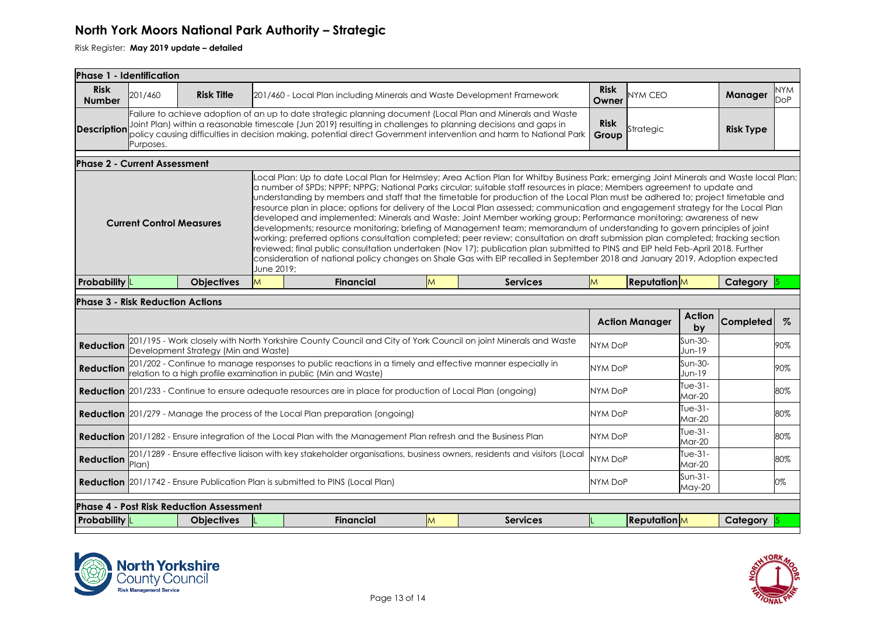| Phase 1 - Identification                                                                                                                                                                                                                                                                                                                                                                                                                                                                                                                                                                                                                                                                                                                                                                                                                                                                                                                                                                                                                                                                                                                                                                                                                                      |                                                                                                                                                                   |                                                 |   |                                                                                                                 |   |  |                 |                |                       |                     |                   |      |
|---------------------------------------------------------------------------------------------------------------------------------------------------------------------------------------------------------------------------------------------------------------------------------------------------------------------------------------------------------------------------------------------------------------------------------------------------------------------------------------------------------------------------------------------------------------------------------------------------------------------------------------------------------------------------------------------------------------------------------------------------------------------------------------------------------------------------------------------------------------------------------------------------------------------------------------------------------------------------------------------------------------------------------------------------------------------------------------------------------------------------------------------------------------------------------------------------------------------------------------------------------------|-------------------------------------------------------------------------------------------------------------------------------------------------------------------|-------------------------------------------------|---|-----------------------------------------------------------------------------------------------------------------|---|--|-----------------|----------------|-----------------------|---------------------|-------------------|------|
| <b>Risk</b><br><b>Number</b>                                                                                                                                                                                                                                                                                                                                                                                                                                                                                                                                                                                                                                                                                                                                                                                                                                                                                                                                                                                                                                                                                                                                                                                                                                  | <b>Risk</b><br>201/460<br><b>Risk Title</b><br>201/460 - Local Plan including Minerals and Waste Development Framework<br>NYM CEO<br>Owner                        |                                                 |   |                                                                                                                 |   |  |                 |                |                       | Manager             | <b>NYM</b><br>DoP |      |
| Failure to achieve adoption of an up to date strategic planning document (Local Plan and Minerals and Waste<br>Joint Plan) within a reasonable timescale (Jun 2019) resulting in challenges to planning decisions and gaps in<br><b>Description</b><br>policy causing difficulties in decision making, potential direct Government intervention and harm to National Park<br>Purposes.                                                                                                                                                                                                                                                                                                                                                                                                                                                                                                                                                                                                                                                                                                                                                                                                                                                                        |                                                                                                                                                                   |                                                 |   |                                                                                                                 |   |  |                 |                | Strategic             |                     | <b>Risk Type</b>  |      |
| <b>Phase 2 - Current Assessment</b>                                                                                                                                                                                                                                                                                                                                                                                                                                                                                                                                                                                                                                                                                                                                                                                                                                                                                                                                                                                                                                                                                                                                                                                                                           |                                                                                                                                                                   |                                                 |   |                                                                                                                 |   |  |                 |                |                       |                     |                   |      |
| Local Plan: Up to date Local Plan for Helmsley; Area Action Plan for Whitby Business Park; emerging Joint Minerals and Waste local Plan;<br>a number of SPDs; NPPF; NPPG; National Parks circular; suitable staff resources in place; Members agreement to update and<br>understanding by members and staff that the timetable for production of the Local Plan must be adhered to; project timetable and<br>resource plan in place; options for delivery of the Local Plan assessed; communication and engagement strategy for the Local Plan<br>developed and implemented; Minerals and Waste: Joint Member working group; Performance monitoring; awareness of new<br><b>Current Control Measures</b><br>developments; resource monitoring; briefing of Management team; memorandum of understanding to govern principles of joint<br>working; preferred options consultation completed; peer review; consultation on draft submission plan completed; fracking section<br>reviewed; final public consultation undertaken (Nov 17); publication plan submitted to PINS and EIP held Feb-April 2018. Further<br>consideration of national policy changes on Shale Gas with EIP recalled in September 2018 and January 2019, Adoption expected<br>June 2019; |                                                                                                                                                                   |                                                 |   |                                                                                                                 |   |  |                 |                |                       |                     |                   |      |
| <b>Probability</b>                                                                                                                                                                                                                                                                                                                                                                                                                                                                                                                                                                                                                                                                                                                                                                                                                                                                                                                                                                                                                                                                                                                                                                                                                                            |                                                                                                                                                                   | <b>Objectives</b>                               | M | <b>Financial</b>                                                                                                | M |  | <b>Services</b> | <b>M</b>       | <b>Reputation</b>     |                     | Category          |      |
| <b>Phase 3 - Risk Reduction Actions</b>                                                                                                                                                                                                                                                                                                                                                                                                                                                                                                                                                                                                                                                                                                                                                                                                                                                                                                                                                                                                                                                                                                                                                                                                                       |                                                                                                                                                                   |                                                 |   |                                                                                                                 |   |  |                 |                |                       |                     |                   |      |
|                                                                                                                                                                                                                                                                                                                                                                                                                                                                                                                                                                                                                                                                                                                                                                                                                                                                                                                                                                                                                                                                                                                                                                                                                                                               |                                                                                                                                                                   |                                                 |   |                                                                                                                 |   |  |                 |                | <b>Action Manager</b> | <b>Action</b><br>by | <b>Completed</b>  | $\%$ |
| <b>Reduction</b>                                                                                                                                                                                                                                                                                                                                                                                                                                                                                                                                                                                                                                                                                                                                                                                                                                                                                                                                                                                                                                                                                                                                                                                                                                              |                                                                                                                                                                   | Development Strategy (Min and Waste)            |   | 201/195 - Work closely with North Yorkshire County Council and City of York Council on joint Minerals and Waste |   |  |                 | <b>NYM DoP</b> |                       | Sun-30-<br>Jun-19   |                   | 90%  |
| 201/202 - Continue to manage responses to public reactions in a timely and effective manner especially in<br><b>Reduction</b><br>relation to a high profile examination in public (Min and Waste)                                                                                                                                                                                                                                                                                                                                                                                                                                                                                                                                                                                                                                                                                                                                                                                                                                                                                                                                                                                                                                                             |                                                                                                                                                                   |                                                 |   |                                                                                                                 |   |  | <b>NYM DoP</b>  |                | Sun-30-<br>Jun-19     | 90%                 |                   |      |
| <b>Reduction</b> 201/233 - Continue to ensure adequate resources are in place for production of Local Plan (ongoing)                                                                                                                                                                                                                                                                                                                                                                                                                                                                                                                                                                                                                                                                                                                                                                                                                                                                                                                                                                                                                                                                                                                                          |                                                                                                                                                                   |                                                 |   |                                                                                                                 |   |  | <b>NYM DoP</b>  |                | Tue-31-<br>$Mar-20$   |                     | 80%               |      |
| $Tue-31-$<br><b>Reduction</b> 201/279 - Manage the process of the Local Plan preparation (ongoing)<br><b>NYM DoP</b><br>Mar-20                                                                                                                                                                                                                                                                                                                                                                                                                                                                                                                                                                                                                                                                                                                                                                                                                                                                                                                                                                                                                                                                                                                                |                                                                                                                                                                   |                                                 |   |                                                                                                                 |   |  |                 | 80%            |                       |                     |                   |      |
|                                                                                                                                                                                                                                                                                                                                                                                                                                                                                                                                                                                                                                                                                                                                                                                                                                                                                                                                                                                                                                                                                                                                                                                                                                                               | Tue-31-<br>Reduction 201/1282 - Ensure integration of the Local Plan with the Management Plan refresh and the Business Plan<br><b>NYM DoP</b><br>Mar-20           |                                                 |   |                                                                                                                 |   |  |                 |                | 80%                   |                     |                   |      |
| <b>Reduction</b>                                                                                                                                                                                                                                                                                                                                                                                                                                                                                                                                                                                                                                                                                                                                                                                                                                                                                                                                                                                                                                                                                                                                                                                                                                              | 201/1289 - Ensure effective liaison with key stakeholder organisations, business owners, residents and visitors (Local<br>Tue-31-<br>NYM DoP<br>Plan)<br>$Mar-20$ |                                                 |   |                                                                                                                 |   |  |                 |                | 80%                   |                     |                   |      |
|                                                                                                                                                                                                                                                                                                                                                                                                                                                                                                                                                                                                                                                                                                                                                                                                                                                                                                                                                                                                                                                                                                                                                                                                                                                               |                                                                                                                                                                   |                                                 |   | <b>Reduction</b> 201/1742 - Ensure Publication Plan is submitted to PINS (Local Plan)                           |   |  |                 | <b>NYM DoP</b> |                       | $Sun-31-$<br>May-20 |                   | 0%   |
|                                                                                                                                                                                                                                                                                                                                                                                                                                                                                                                                                                                                                                                                                                                                                                                                                                                                                                                                                                                                                                                                                                                                                                                                                                                               |                                                                                                                                                                   | <b>Phase 4 - Post Risk Reduction Assessment</b> |   |                                                                                                                 |   |  |                 |                |                       |                     |                   |      |
| <b>Probability</b>                                                                                                                                                                                                                                                                                                                                                                                                                                                                                                                                                                                                                                                                                                                                                                                                                                                                                                                                                                                                                                                                                                                                                                                                                                            |                                                                                                                                                                   | <b>Objectives</b>                               |   | <b>Financial</b>                                                                                                | M |  | <b>Services</b> |                | <b>Reputation</b>     |                     | Category          |      |



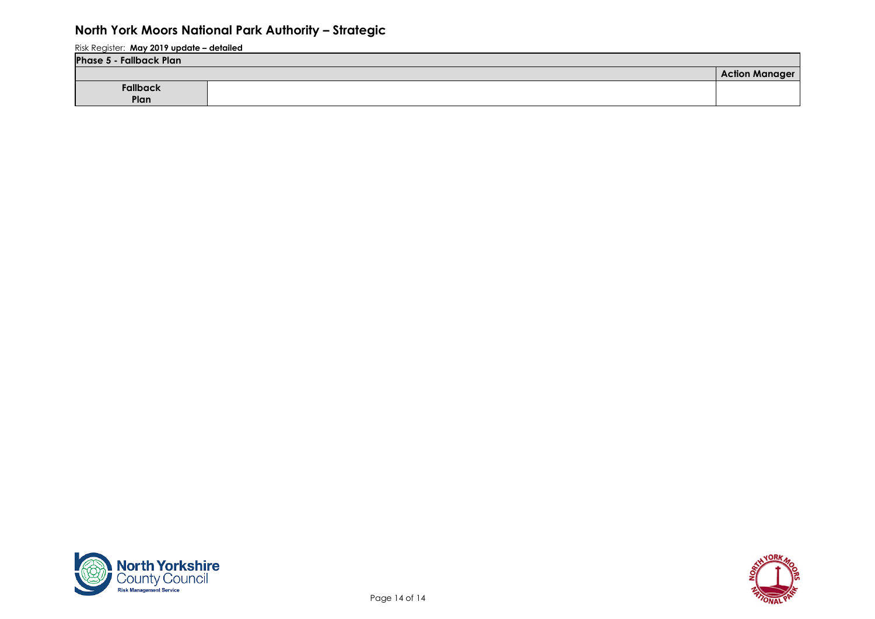| <b>Phase 5 - Fallback Plan</b> |  |                           |  |  |  |  |  |  |
|--------------------------------|--|---------------------------|--|--|--|--|--|--|
|                                |  | <b>Action Mar</b><br>aaer |  |  |  |  |  |  |
| <b>Fallback</b>                |  |                           |  |  |  |  |  |  |
| Plan                           |  |                           |  |  |  |  |  |  |



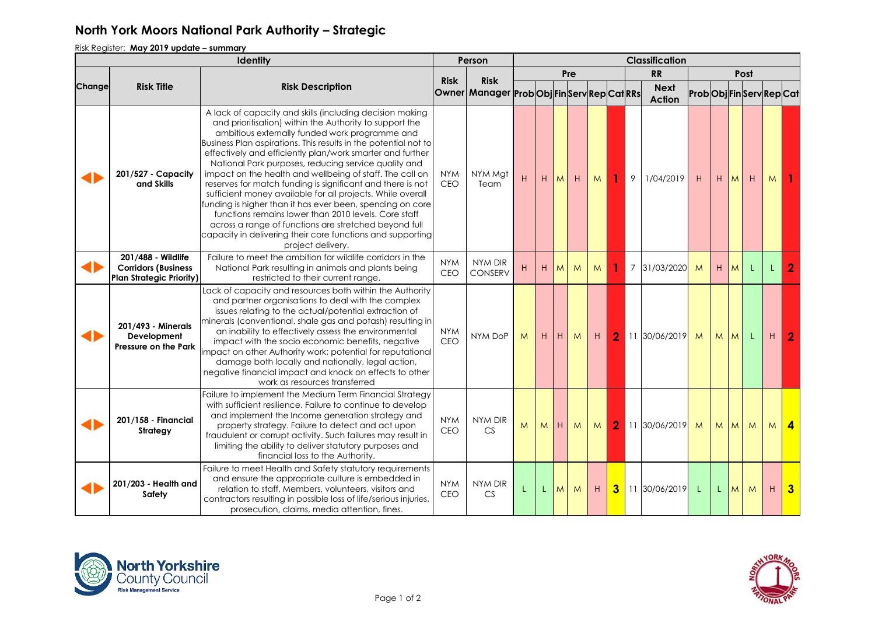Risk Register: **May 2019 update – summary**

|        |                                                                                     |                                                                                                                                                                                                                                                                                                                                                                                                                                                                                                                                                                                                                                                                                                                                                                                                                        | Person                   | <b>Classification</b>                                    |   |    |                |     |   |                |                |                              |                      |    |                |   |    |                |
|--------|-------------------------------------------------------------------------------------|------------------------------------------------------------------------------------------------------------------------------------------------------------------------------------------------------------------------------------------------------------------------------------------------------------------------------------------------------------------------------------------------------------------------------------------------------------------------------------------------------------------------------------------------------------------------------------------------------------------------------------------------------------------------------------------------------------------------------------------------------------------------------------------------------------------------|--------------------------|----------------------------------------------------------|---|----|----------------|-----|---|----------------|----------------|------------------------------|----------------------|----|----------------|---|----|----------------|
|        |                                                                                     |                                                                                                                                                                                                                                                                                                                                                                                                                                                                                                                                                                                                                                                                                                                                                                                                                        |                          |                                                          |   |    |                | Pre |   |                |                | <b>RR</b>                    | Post                 |    |                |   |    |                |
| Change | <b>Risk Title</b>                                                                   | <b>Risk Description</b>                                                                                                                                                                                                                                                                                                                                                                                                                                                                                                                                                                                                                                                                                                                                                                                                | <b>Risk</b>              | <b>Risk</b><br>Owner Manager Prob Obj FinServ Rep CatRRs |   |    |                |     |   |                |                | <b>Next</b><br><b>Action</b> | ProbObjFinServRepCat |    |                |   |    |                |
|        | 201/527 - Capacity<br>and Skills                                                    | A lack of capacity and skills (including decision making<br>and prioritisation) within the Authority to support the<br>ambitious externally funded work programme and<br>Business Plan aspirations. This results in the potential not to<br>effectively and efficiently plan/work smarter and further<br>National Park purposes, reducing service quality and<br>impact on the health and wellbeing of staff. The call on<br>reserves for match funding is significant and there is not<br>sufficient money available for all projects. While overall<br>funding is higher than it has ever been, spending on core<br>functions remains lower than 2010 levels. Core staff<br>across a range of functions are stretched beyond full<br>capacity in delivering their core functions and supporting<br>project delivery. | <b>NYM</b><br>CEO        | NYM Mgt<br>Team                                          | H | H  | M              | H   | M |                | 9              | 1/04/2019                    | H                    | H  | M              | H | M. |                |
|        | 201/488 - Wildlife<br><b>Corridors (Business</b><br><b>Plan Strategic Priority)</b> | Failure to meet the ambition for wildlife corridors in the<br>National Park resulting in animals and plants being<br>restricted to their current range.                                                                                                                                                                                                                                                                                                                                                                                                                                                                                                                                                                                                                                                                | <b>NYM</b><br><b>CEO</b> | NYM DIR<br><b>CONSERV</b>                                | H | H  | M <sub>1</sub> | M   | M |                | $\overline{7}$ | 31/03/2020                   | M                    | H  | M <sub>1</sub> | L | L  | $\mathbf{2}$   |
|        | 201/493 - Minerals<br>Development<br>Pressure on the Park                           | Lack of capacity and resources both within the Authority<br>and partner organisations to deal with the complex<br>issues relating to the actual/potential extraction of<br>minerals (conventional, shale gas and potash) resulting in<br>an inability to effectively assess the environmental<br>impact with the socio economic benefits, negative<br>impact on other Authority work; potential for reputational<br>damage both locally and nationally, legal action,<br>negative financial impact and knock on effects to other<br>work as resources transferred                                                                                                                                                                                                                                                      | <b>NYM</b><br>CEO        | NYM DoP                                                  | M | H  | IнI            | M   | H | $\overline{2}$ |                | 11 30/06/2019                | M                    | M  | M <sub>l</sub> | L | H  | $\overline{2}$ |
|        | 201/158 - Financial<br>Strategy                                                     | Failure to implement the Medium Term Financial Strategy<br>with sufficient resilience. Failure to continue to develop<br>and implement the Income generation strategy and<br>property strategy. Failure to detect and act upon<br>fraudulent or corrupt activity. Such failures may result in<br>limiting the ability to deliver statutory purposes and<br>financial loss to the Authority.                                                                                                                                                                                                                                                                                                                                                                                                                            | <b>NYM</b><br>CEO        | NYM DIR<br><b>CS</b>                                     | M | M  | H              | M   | M | $\overline{2}$ |                | 11 30/06/2019                | M                    | M  | M              | M | M  | $\overline{4}$ |
|        | 201/203 - Health and<br>Safety                                                      | Failure to meet Health and Safety statutory requirements<br>and ensure the appropriate culture is embedded in<br>relation to staff, Members, volunteers, visitors and<br>contractors resulting in possible loss of life/serious injuries,<br>prosecution, claims, media attention, fines.                                                                                                                                                                                                                                                                                                                                                                                                                                                                                                                              | <b>NYM</b><br>CEO        | NYM DIR<br><b>CS</b>                                     | L | L. | M <sub>1</sub> | M   | H | 3              |                | 11 30/06/2019                | L.                   | L. | M              | M | H  | $\mathbf{3}$   |